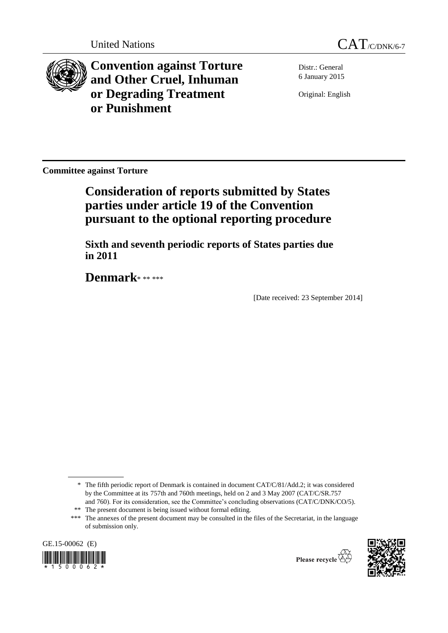



**Convention against Torture and Other Cruel, Inhuman or Degrading Treatment or Punishment**

Distr.: General 6 January 2015

Original: English

**Committee against Torture**

**Consideration of reports submitted by States parties under article 19 of the Convention pursuant to the optional reporting procedure**

**Sixth and seventh periodic reports of States parties due in 2011**

**Denmark**\* \*\* \*\*\*

[Date received: 23 September 2014]

<sup>\*\*\*</sup> The annexes of the present document may be consulted in the files of the Secretariat, in the language of submission only.







<sup>\*</sup> The fifth periodic report of Denmark is contained in document CAT/C/81/Add.2; it was considered by the Committee at its 757th and 760th meetings, held on 2 and 3 May 2007 (CAT/C/SR.757 and 760). For its consideration, see the Committee's concluding observations (CAT/C/DNK/CO/5). \*\* The present document is being issued without formal editing.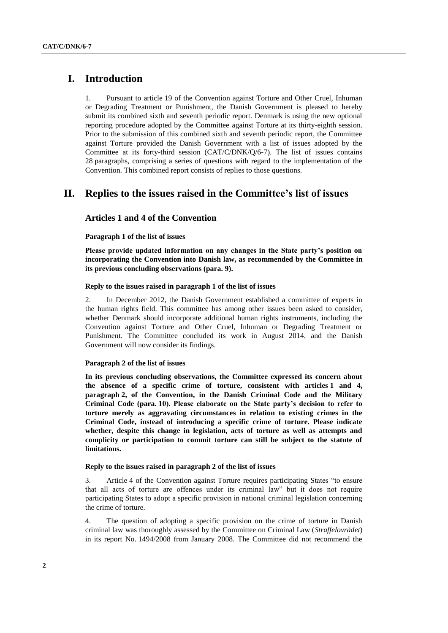# **I. Introduction**

1. Pursuant to article 19 of the Convention against Torture and Other Cruel, Inhuman or Degrading Treatment or Punishment, the Danish Government is pleased to hereby submit its combined sixth and seventh periodic report. Denmark is using the new optional reporting procedure adopted by the Committee against Torture at its thirty-eighth session. Prior to the submission of this combined sixth and seventh periodic report, the Committee against Torture provided the Danish Government with a list of issues adopted by the Committee at its forty-third session (CAT/C/DNK/Q/6-7). The list of issues contains 28 paragraphs, comprising a series of questions with regard to the implementation of the Convention. This combined report consists of replies to those questions.

# **II. Replies to the issues raised in the Committee's list of issues**

# **Articles 1 and 4 of the Convention**

## **Paragraph 1 of the list of issues**

**Please provide updated information on any changes in the State party's position on incorporating the Convention into Danish law, as recommended by the Committee in its previous concluding observations (para. 9).**

## **Reply to the issues raised in paragraph 1 of the list of issues**

2. In December 2012, the Danish Government established a committee of experts in the human rights field. This committee has among other issues been asked to consider, whether Denmark should incorporate additional human rights instruments, including the Convention against Torture and Other Cruel, Inhuman or Degrading Treatment or Punishment. The Committee concluded its work in August 2014, and the Danish Government will now consider its findings.

## **Paragraph 2 of the list of issues**

**In its previous concluding observations, the Committee expressed its concern about the absence of a specific crime of torture, consistent with articles 1 and 4, paragraph 2, of the Convention, in the Danish Criminal Code and the Military Criminal Code (para. 10). Please elaborate on the State party's decision to refer to torture merely as aggravating circumstances in relation to existing crimes in the Criminal Code, instead of introducing a specific crime of torture. Please indicate whether, despite this change in legislation, acts of torture as well as attempts and complicity or participation to commit torture can still be subject to the statute of limitations.**

# **Reply to the issues raised in paragraph 2 of the list of issues**

3. Article 4 of the Convention against Torture requires participating States "to ensure that all acts of torture are offences under its criminal law" but it does not require participating States to adopt a specific provision in national criminal legislation concerning the crime of torture.

4. The question of adopting a specific provision on the crime of torture in Danish criminal law was thoroughly assessed by the Committee on Criminal Law (*Straffelovrådet*) in its report No. 1494/2008 from January 2008. The Committee did not recommend the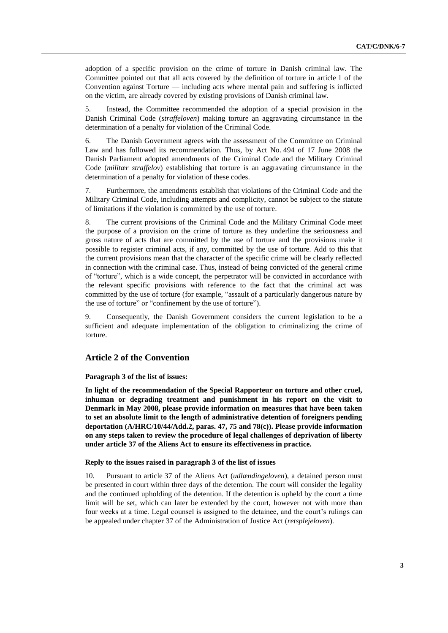adoption of a specific provision on the crime of torture in Danish criminal law. The Committee pointed out that all acts covered by the definition of torture in article 1 of the Convention against Torture — including acts where mental pain and suffering is inflicted on the victim, are already covered by existing provisions of Danish criminal law.

5. Instead, the Committee recommended the adoption of a special provision in the Danish Criminal Code (*straffeloven*) making torture an aggravating circumstance in the determination of a penalty for violation of the Criminal Code.

6. The Danish Government agrees with the assessment of the Committee on Criminal Law and has followed its recommendation. Thus, by Act No. 494 of 17 June 2008 the Danish Parliament adopted amendments of the Criminal Code and the Military Criminal Code (*militær straffelov*) establishing that torture is an aggravating circumstance in the determination of a penalty for violation of these codes.

7. Furthermore, the amendments establish that violations of the Criminal Code and the Military Criminal Code, including attempts and complicity, cannot be subject to the statute of limitations if the violation is committed by the use of torture.

8. The current provisions of the Criminal Code and the Military Criminal Code meet the purpose of a provision on the crime of torture as they underline the seriousness and gross nature of acts that are committed by the use of torture and the provisions make it possible to register criminal acts, if any, committed by the use of torture. Add to this that the current provisions mean that the character of the specific crime will be clearly reflected in connection with the criminal case. Thus, instead of being convicted of the general crime of "torture", which is a wide concept, the perpetrator will be convicted in accordance with the relevant specific provisions with reference to the fact that the criminal act was committed by the use of torture (for example, "assault of a particularly dangerous nature by the use of torture" or "confinement by the use of torture").

9. Consequently, the Danish Government considers the current legislation to be a sufficient and adequate implementation of the obligation to criminalizing the crime of torture.

# **Article 2 of the Convention**

## **Paragraph 3 of the list of issues:**

**In light of the recommendation of the Special Rapporteur on torture and other cruel, inhuman or degrading treatment and punishment in his report on the visit to Denmark in May 2008, please provide information on measures that have been taken to set an absolute limit to the length of administrative detention of foreigners pending deportation (A/HRC/10/44/Add.2, paras. 47, 75 and 78(c)). Please provide information on any steps taken to review the procedure of legal challenges of deprivation of liberty under article 37 of the Aliens Act to ensure its effectiveness in practice.**

## **Reply to the issues raised in paragraph 3 of the list of issues**

10. Pursuant to article 37 of the Aliens Act (*udlændingeloven*), a detained person must be presented in court within three days of the detention. The court will consider the legality and the continued upholding of the detention. If the detention is upheld by the court a time limit will be set, which can later be extended by the court, however not with more than four weeks at a time. Legal counsel is assigned to the detainee, and the court's rulings can be appealed under chapter 37 of the Administration of Justice Act (*retsplejeloven*).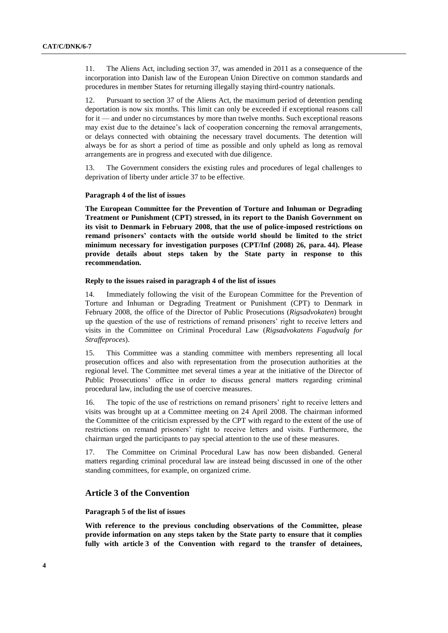11. The Aliens Act, including section 37, was amended in 2011 as a consequence of the incorporation into Danish law of the European Union Directive on common standards and procedures in member States for returning illegally staying third-country nationals.

12. Pursuant to section 37 of the Aliens Act, the maximum period of detention pending deportation is now six months. This limit can only be exceeded if exceptional reasons call for it — and under no circumstances by more than twelve months. Such exceptional reasons may exist due to the detainee's lack of cooperation concerning the removal arrangements, or delays connected with obtaining the necessary travel documents. The detention will always be for as short a period of time as possible and only upheld as long as removal arrangements are in progress and executed with due diligence.

13. The Government considers the existing rules and procedures of legal challenges to deprivation of liberty under article 37 to be effective.

## **Paragraph 4 of the list of issues**

**The European Committee for the Prevention of Torture and Inhuman or Degrading Treatment or Punishment (CPT) stressed, in its report to the Danish Government on its visit to Denmark in February 2008, that the use of police-imposed restrictions on remand prisoners' contacts with the outside world should be limited to the strict minimum necessary for investigation purposes (CPT/Inf (2008) 26, para. 44). Please provide details about steps taken by the State party in response to this recommendation.**

#### **Reply to the issues raised in paragraph 4 of the list of issues**

14. Immediately following the visit of the European Committee for the Prevention of Torture and Inhuman or Degrading Treatment or Punishment (CPT) to Denmark in February 2008, the office of the Director of Public Prosecutions (*Rigsadvokaten*) brought up the question of the use of restrictions of remand prisoners' right to receive letters and visits in the Committee on Criminal Procedural Law (*Rigsadvokatens Fagudvalg for Straffeproces*).

15. This Committee was a standing committee with members representing all local prosecution offices and also with representation from the prosecution authorities at the regional level. The Committee met several times a year at the initiative of the Director of Public Prosecutions' office in order to discuss general matters regarding criminal procedural law, including the use of coercive measures.

16. The topic of the use of restrictions on remand prisoners' right to receive letters and visits was brought up at a Committee meeting on 24 April 2008. The chairman informed the Committee of the criticism expressed by the CPT with regard to the extent of the use of restrictions on remand prisoners' right to receive letters and visits. Furthermore, the chairman urged the participants to pay special attention to the use of these measures.

17. The Committee on Criminal Procedural Law has now been disbanded. General matters regarding criminal procedural law are instead being discussed in one of the other standing committees, for example, on organized crime.

# **Article 3 of the Convention**

#### **Paragraph 5 of the list of issues**

**With reference to the previous concluding observations of the Committee, please provide information on any steps taken by the State party to ensure that it complies fully with article 3 of the Convention with regard to the transfer of detainees,**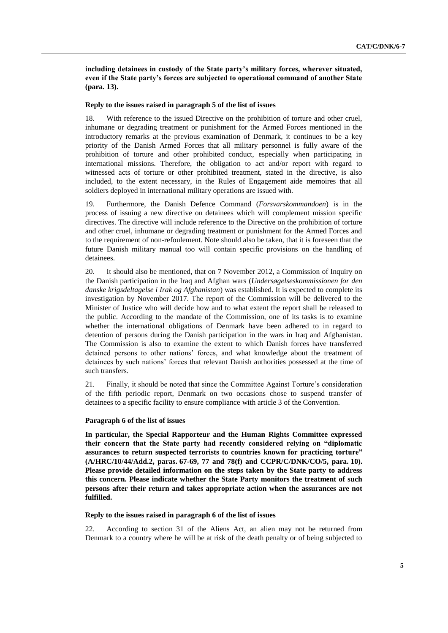**including detainees in custody of the State party's military forces, wherever situated, even if the State party's forces are subjected to operational command of another State (para. 13).**

#### **Reply to the issues raised in paragraph 5 of the list of issues**

18. With reference to the issued Directive on the prohibition of torture and other cruel, inhumane or degrading treatment or punishment for the Armed Forces mentioned in the introductory remarks at the previous examination of Denmark, it continues to be a key priority of the Danish Armed Forces that all military personnel is fully aware of the prohibition of torture and other prohibited conduct, especially when participating in international missions. Therefore, the obligation to act and/or report with regard to witnessed acts of torture or other prohibited treatment, stated in the directive, is also included, to the extent necessary, in the Rules of Engagement aide memoires that all soldiers deployed in international military operations are issued with.

19. Furthermore, the Danish Defence Command (*Forsvarskommandoen*) is in the process of issuing a new directive on detainees which will complement mission specific directives. The directive will include reference to the Directive on the prohibition of torture and other cruel, inhumane or degrading treatment or punishment for the Armed Forces and to the requirement of non-refoulement. Note should also be taken, that it is foreseen that the future Danish military manual too will contain specific provisions on the handling of detainees.

20. It should also be mentioned, that on 7 November 2012, a Commission of Inquiry on the Danish participation in the Iraq and Afghan wars (*Undersøgelseskommissionen for den danske krigsdeltagelse i Irak og Afghanistan*) was established. It is expected to complete its investigation by November 2017. The report of the Commission will be delivered to the Minister of Justice who will decide how and to what extent the report shall be released to the public. According to the mandate of the Commission, one of its tasks is to examine whether the international obligations of Denmark have been adhered to in regard to detention of persons during the Danish participation in the wars in Iraq and Afghanistan. The Commission is also to examine the extent to which Danish forces have transferred detained persons to other nations' forces, and what knowledge about the treatment of detainees by such nations' forces that relevant Danish authorities possessed at the time of such transfers.

21. Finally, it should be noted that since the Committee Against Torture's consideration of the fifth periodic report, Denmark on two occasions chose to suspend transfer of detainees to a specific facility to ensure compliance with article 3 of the Convention.

#### **Paragraph 6 of the list of issues**

**In particular, the Special Rapporteur and the Human Rights Committee expressed their concern that the State party had recently considered relying on "diplomatic assurances to return suspected terrorists to countries known for practicing torture" (A/HRC/10/44/Add.2, paras. 67-69, 77 and 78(f) and CCPR/C/DNK/CO/5, para. 10). Please provide detailed information on the steps taken by the State party to address this concern. Please indicate whether the State Party monitors the treatment of such persons after their return and takes appropriate action when the assurances are not fulfilled.**

**Reply to the issues raised in paragraph 6 of the list of issues**

22. According to section 31 of the Aliens Act, an alien may not be returned from Denmark to a country where he will be at risk of the death penalty or of being subjected to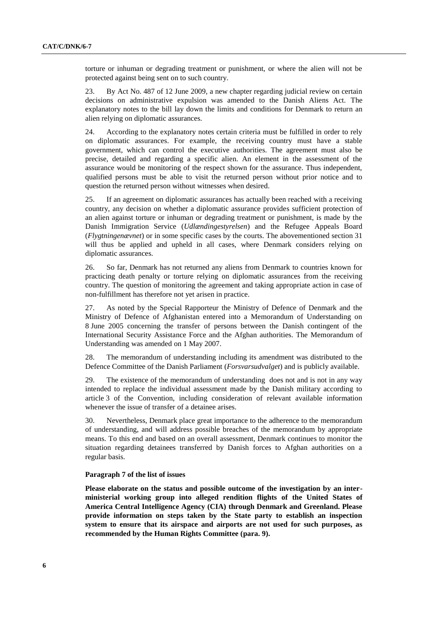torture or inhuman or degrading treatment or punishment, or where the alien will not be protected against being sent on to such country.

23. By Act No. 487 of 12 June 2009, a new chapter regarding judicial review on certain decisions on administrative expulsion was amended to the Danish Aliens Act. The explanatory notes to the bill lay down the limits and conditions for Denmark to return an alien relying on diplomatic assurances.

24. According to the explanatory notes certain criteria must be fulfilled in order to rely on diplomatic assurances. For example, the receiving country must have a stable government, which can control the executive authorities. The agreement must also be precise, detailed and regarding a specific alien. An element in the assessment of the assurance would be monitoring of the respect shown for the assurance. Thus independent, qualified persons must be able to visit the returned person without prior notice and to question the returned person without witnesses when desired.

25. If an agreement on diplomatic assurances has actually been reached with a receiving country, any decision on whether a diplomatic assurance provides sufficient protection of an alien against torture or inhuman or degrading treatment or punishment, is made by the Danish Immigration Service (*Udlændingestyrelsen*) and the Refugee Appeals Board (*Flygtningenævnet*) or in some specific cases by the courts. The abovementioned section 31 will thus be applied and upheld in all cases, where Denmark considers relying on diplomatic assurances.

26. So far, Denmark has not returned any aliens from Denmark to countries known for practicing death penalty or torture relying on diplomatic assurances from the receiving country. The question of monitoring the agreement and taking appropriate action in case of non-fulfillment has therefore not yet arisen in practice.

27. As noted by the Special Rapporteur the Ministry of Defence of Denmark and the Ministry of Defence of Afghanistan entered into a Memorandum of Understanding on 8 June 2005 concerning the transfer of persons between the Danish contingent of the International Security Assistance Force and the Afghan authorities. The Memorandum of Understanding was amended on 1 May 2007.

28. The memorandum of understanding including its amendment was distributed to the Defence Committee of the Danish Parliament (*Forsvarsudvalget*) and is publicly available.

29. The existence of the memorandum of understanding does not and is not in any way intended to replace the individual assessment made by the Danish military according to article 3 of the Convention, including consideration of relevant available information whenever the issue of transfer of a detainee arises.

30. Nevertheless, Denmark place great importance to the adherence to the memorandum of understanding, and will address possible breaches of the memorandum by appropriate means. To this end and based on an overall assessment, Denmark continues to monitor the situation regarding detainees transferred by Danish forces to Afghan authorities on a regular basis.

## **Paragraph 7 of the list of issues**

**Please elaborate on the status and possible outcome of the investigation by an interministerial working group into alleged rendition flights of the United States of America Central Intelligence Agency (CIA) through Denmark and Greenland. Please provide information on steps taken by the State party to establish an inspection system to ensure that its airspace and airports are not used for such purposes, as recommended by the Human Rights Committee (para. 9).**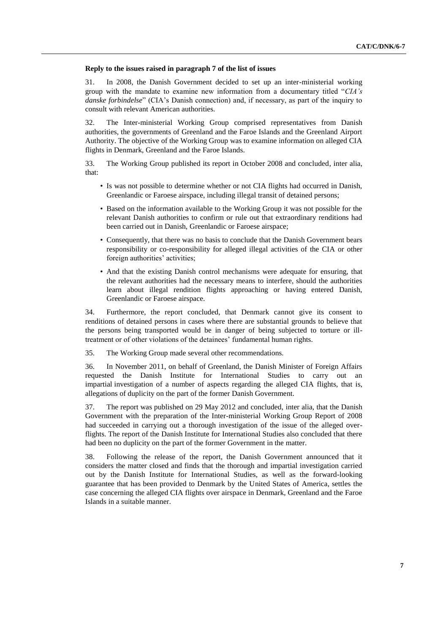### **Reply to the issues raised in paragraph 7 of the list of issues**

31. In 2008, the Danish Government decided to set up an inter-ministerial working group with the mandate to examine new information from a documentary titled "*CIA's danske forbindelse*" (CIA's Danish connection) and, if necessary, as part of the inquiry to consult with relevant American authorities.

32. The Inter-ministerial Working Group comprised representatives from Danish authorities, the governments of Greenland and the Faroe Islands and the Greenland Airport Authority. The objective of the Working Group was to examine information on alleged CIA flights in Denmark, Greenland and the Faroe Islands.

33. The Working Group published its report in October 2008 and concluded, inter alia, that:

- Is was not possible to determine whether or not CIA flights had occurred in Danish, Greenlandic or Faroese airspace, including illegal transit of detained persons;
- Based on the information available to the Working Group it was not possible for the relevant Danish authorities to confirm or rule out that extraordinary renditions had been carried out in Danish, Greenlandic or Faroese airspace;
- Consequently, that there was no basis to conclude that the Danish Government bears responsibility or co-responsibility for alleged illegal activities of the CIA or other foreign authorities' activities;
- And that the existing Danish control mechanisms were adequate for ensuring, that the relevant authorities had the necessary means to interfere, should the authorities learn about illegal rendition flights approaching or having entered Danish, Greenlandic or Faroese airspace.

34. Furthermore, the report concluded, that Denmark cannot give its consent to renditions of detained persons in cases where there are substantial grounds to believe that the persons being transported would be in danger of being subjected to torture or illtreatment or of other violations of the detainees' fundamental human rights.

35. The Working Group made several other recommendations.

36. In November 2011, on behalf of Greenland, the Danish Minister of Foreign Affairs requested the Danish Institute for International Studies to carry out an impartial investigation of a number of aspects regarding the alleged CIA flights, that is, allegations of duplicity on the part of the former Danish Government.

37. The report was published on 29 May 2012 and concluded, inter alia, that the Danish Government with the preparation of the Inter-ministerial Working Group Report of 2008 had succeeded in carrying out a thorough investigation of the issue of the alleged overflights. The report of the Danish Institute for International Studies also concluded that there had been no duplicity on the part of the former Government in the matter.

38. Following the release of the report, the Danish Government announced that it considers the matter closed and finds that the thorough and impartial investigation carried out by the Danish Institute for International Studies, as well as the forward-looking guarantee that has been provided to Denmark by the United States of America, settles the case concerning the alleged CIA flights over airspace in Denmark, Greenland and the Faroe Islands in a suitable manner.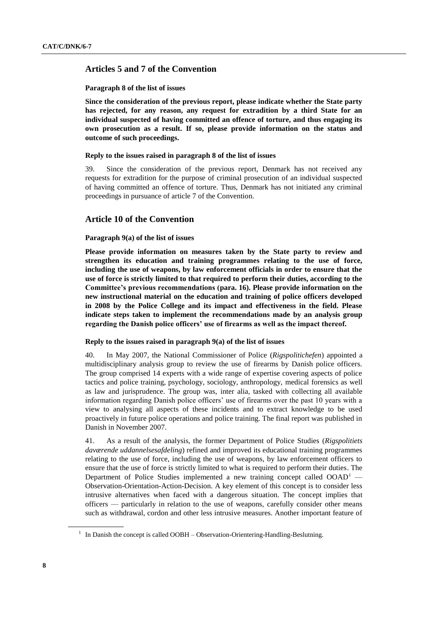# **Articles 5 and 7 of the Convention**

#### **Paragraph 8 of the list of issues**

**Since the consideration of the previous report, please indicate whether the State party has rejected, for any reason, any request for extradition by a third State for an individual suspected of having committed an offence of torture, and thus engaging its own prosecution as a result. If so, please provide information on the status and outcome of such proceedings.**

#### **Reply to the issues raised in paragraph 8 of the list of issues**

39. Since the consideration of the previous report, Denmark has not received any requests for extradition for the purpose of criminal prosecution of an individual suspected of having committed an offence of torture. Thus, Denmark has not initiated any criminal proceedings in pursuance of article 7 of the Convention.

# **Article 10 of the Convention**

## **Paragraph 9(a) of the list of issues**

**Please provide information on measures taken by the State party to review and strengthen its education and training programmes relating to the use of force, including the use of weapons, by law enforcement officials in order to ensure that the use of force is strictly limited to that required to perform their duties, according to the Committee's previous recommendations (para. 16). Please provide information on the new instructional material on the education and training of police officers developed in 2008 by the Police College and its impact and effectiveness in the field. Please indicate steps taken to implement the recommendations made by an analysis group regarding the Danish police officers' use of firearms as well as the impact thereof.**

#### **Reply to the issues raised in paragraph 9(a) of the list of issues**

40. In May 2007, the National Commissioner of Police (*Rigspolitichefen*) appointed a multidisciplinary analysis group to review the use of firearms by Danish police officers. The group comprised 14 experts with a wide range of expertise covering aspects of police tactics and police training, psychology, sociology, anthropology, medical forensics as well as law and jurisprudence. The group was, inter alia*,* tasked with collecting all available information regarding Danish police officers' use of firearms over the past 10 years with a view to analysing all aspects of these incidents and to extract knowledge to be used proactively in future police operations and police training. The final report was published in Danish in November 2007.

41. As a result of the analysis, the former Department of Police Studies (*Rigspolitiets daværende uddannelsesafdeling*) refined and improved its educational training programmes relating to the use of force, including the use of weapons, by law enforcement officers to ensure that the use of force is strictly limited to what is required to perform their duties. The Department of Police Studies implemented a new training concept called  $OOAD<sup>1</sup>$  — Observation-Orientation-Action-Decision. A key element of this concept is to consider less intrusive alternatives when faced with a dangerous situation. The concept implies that officers — particularly in relation to the use of weapons, carefully consider other means such as withdrawal, cordon and other less intrusive measures. Another important feature of

<sup>&</sup>lt;sup>1</sup> In Danish the concept is called OOBH – Observation-Orientering-Handling-Beslutning.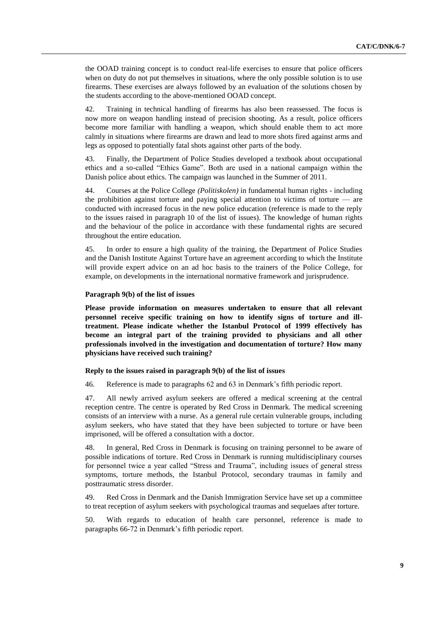the OOAD training concept is to conduct real-life exercises to ensure that police officers when on duty do not put themselves in situations, where the only possible solution is to use firearms. These exercises are always followed by an evaluation of the solutions chosen by the students according to the above-mentioned OOAD concept.

42. Training in technical handling of firearms has also been reassessed. The focus is now more on weapon handling instead of precision shooting. As a result, police officers become more familiar with handling a weapon, which should enable them to act more calmly in situations where firearms are drawn and lead to more shots fired against arms and legs as opposed to potentially fatal shots against other parts of the body.

43. Finally, the Department of Police Studies developed a textbook about occupational ethics and a so-called "Ethics Game". Both are used in a national campaign within the Danish police about ethics. The campaign was launched in the Summer of 2011.

44. Courses at the Police College *(Politiskolen)* in fundamental human rights - including the prohibition against torture and paying special attention to victims of torture — are conducted with increased focus in the new police education (reference is made to the reply to the issues raised in paragraph 10 of the list of issues). The knowledge of human rights and the behaviour of the police in accordance with these fundamental rights are secured throughout the entire education.

45. In order to ensure a high quality of the training, the Department of Police Studies and the Danish Institute Against Torture have an agreement according to which the Institute will provide expert advice on an ad hoc basis to the trainers of the Police College, for example, on developments in the international normative framework and jurisprudence.

## **Paragraph 9(b) of the list of issues**

**Please provide information on measures undertaken to ensure that all relevant personnel receive specific training on how to identify signs of torture and illtreatment. Please indicate whether the Istanbul Protocol of 1999 effectively has become an integral part of the training provided to physicians and all other professionals involved in the investigation and documentation of torture? How many physicians have received such training?**

#### **Reply to the issues raised in paragraph 9(b) of the list of issues**

46. Reference is made to paragraphs 62 and 63 in Denmark's fifth periodic report.

47. All newly arrived asylum seekers are offered a medical screening at the central reception centre. The centre is operated by Red Cross in Denmark. The medical screening consists of an interview with a nurse. As a general rule certain vulnerable groups, including asylum seekers, who have stated that they have been subjected to torture or have been imprisoned, will be offered a consultation with a doctor.

48. In general, Red Cross in Denmark is focusing on training personnel to be aware of possible indications of torture. Red Cross in Denmark is running multidisciplinary courses for personnel twice a year called "Stress and Trauma", including issues of general stress symptoms, torture methods, the Istanbul Protocol, secondary traumas in family and posttraumatic stress disorder.

49. Red Cross in Denmark and the Danish Immigration Service have set up a committee to treat reception of asylum seekers with psychological traumas and sequelaes after torture.

50. With regards to education of health care personnel, reference is made to paragraphs 66-72 in Denmark's fifth periodic report.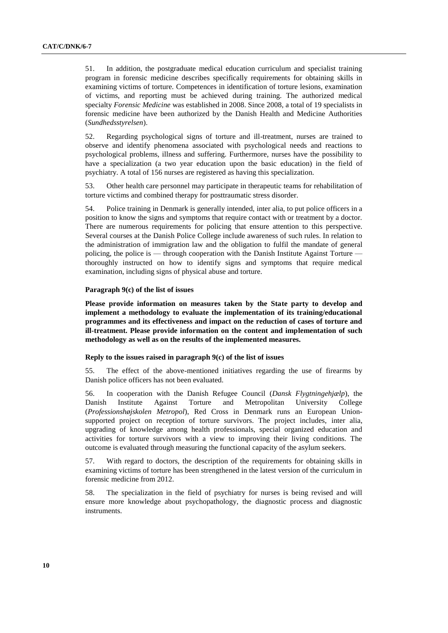51. In addition, the postgraduate medical education curriculum and specialist training program in forensic medicine describes specifically requirements for obtaining skills in examining victims of torture. Competences in identification of torture lesions, examination of victims, and reporting must be achieved during training. The authorized medical specialty *Forensic Medicine* was established in 2008. Since 2008, a total of 19 specialists in forensic medicine have been authorized by the Danish Health and Medicine Authorities (*Sundhedsstyrelsen*).

52. Regarding psychological signs of torture and ill-treatment, nurses are trained to observe and identify phenomena associated with psychological needs and reactions to psychological problems, illness and suffering. Furthermore, nurses have the possibility to have a specialization (a two year education upon the basic education) in the field of psychiatry. A total of 156 nurses are registered as having this specialization.

53. Other health care personnel may participate in therapeutic teams for rehabilitation of torture victims and combined therapy for posttraumatic stress disorder.

54. Police training in Denmark is generally intended, inter alia, to put police officers in a position to know the signs and symptoms that require contact with or treatment by a doctor. There are numerous requirements for policing that ensure attention to this perspective. Several courses at the Danish Police College include awareness of such rules. In relation to the administration of immigration law and the obligation to fulfil the mandate of general policing, the police is — through cooperation with the Danish Institute Against Torture thoroughly instructed on how to identify signs and symptoms that require medical examination, including signs of physical abuse and torture.

#### **Paragraph 9(c) of the list of issues**

**Please provide information on measures taken by the State party to develop and implement a methodology to evaluate the implementation of its training/educational programmes and its effectiveness and impact on the reduction of cases of torture and ill-treatment. Please provide information on the content and implementation of such methodology as well as on the results of the implemented measures.**

## **Reply to the issues raised in paragraph 9(c) of the list of issues**

55. The effect of the above-mentioned initiatives regarding the use of firearms by Danish police officers has not been evaluated.

56. In cooperation with the Danish Refugee Council (*Dansk Flygtningehjælp*), the Danish Institute Against Torture and Metropolitan University College (*Professionshøjskolen Metropol*), Red Cross in Denmark runs an European Unionsupported project on reception of torture survivors. The project includes, inter alia, upgrading of knowledge among health professionals, special organized education and activities for torture survivors with a view to improving their living conditions. The outcome is evaluated through measuring the functional capacity of the asylum seekers.

57. With regard to doctors, the description of the requirements for obtaining skills in examining victims of torture has been strengthened in the latest version of the curriculum in forensic medicine from 2012.

58. The specialization in the field of psychiatry for nurses is being revised and will ensure more knowledge about psychopathology, the diagnostic process and diagnostic instruments.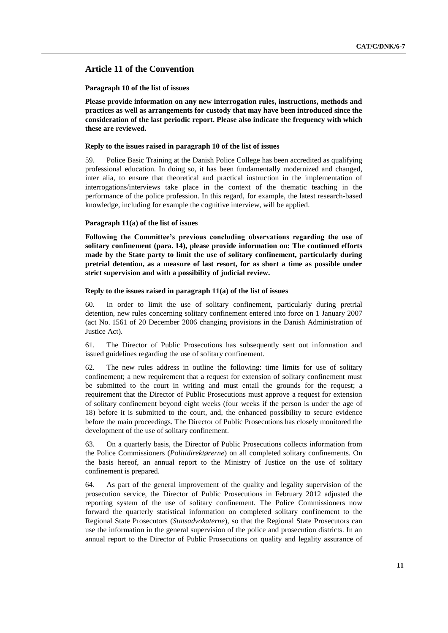# **Article 11 of the Convention**

#### **Paragraph 10 of the list of issues**

**Please provide information on any new interrogation rules, instructions, methods and practices as well as arrangements for custody that may have been introduced since the consideration of the last periodic report. Please also indicate the frequency with which these are reviewed.**

## **Reply to the issues raised in paragraph 10 of the list of issues**

59. Police Basic Training at the Danish Police College has been accredited as qualifying professional education. In doing so, it has been fundamentally modernized and changed, inter alia, to ensure that theoretical and practical instruction in the implementation of interrogations/interviews take place in the context of the thematic teaching in the performance of the police profession. In this regard, for example, the latest research-based knowledge, including for example the cognitive interview, will be applied.

## **Paragraph 11(a) of the list of issues**

**Following the Committee's previous concluding observations regarding the use of solitary confinement (para. 14), please provide information on: The continued efforts made by the State party to limit the use of solitary confinement, particularly during pretrial detention, as a measure of last resort, for as short a time as possible under strict supervision and with a possibility of judicial review.**

### **Reply to the issues raised in paragraph 11(a) of the list of issues**

60. In order to limit the use of solitary confinement, particularly during pretrial detention, new rules concerning solitary confinement entered into force on 1 January 2007 (act No. 1561 of 20 December 2006 changing provisions in the Danish Administration of Justice Act).

61. The Director of Public Prosecutions has subsequently sent out information and issued guidelines regarding the use of solitary confinement.

62. The new rules address in outline the following: time limits for use of solitary confinement; a new requirement that a request for extension of solitary confinement must be submitted to the court in writing and must entail the grounds for the request; a requirement that the Director of Public Prosecutions must approve a request for extension of solitary confinement beyond eight weeks (four weeks if the person is under the age of 18) before it is submitted to the court, and, the enhanced possibility to secure evidence before the main proceedings. The Director of Public Prosecutions has closely monitored the development of the use of solitary confinement.

63. On a quarterly basis, the Director of Public Prosecutions collects information from the Police Commissioners (*Politidirektørerne*) on all completed solitary confinements. On the basis hereof, an annual report to the Ministry of Justice on the use of solitary confinement is prepared.

64. As part of the general improvement of the quality and legality supervision of the prosecution service, the Director of Public Prosecutions in February 2012 adjusted the reporting system of the use of solitary confinement. The Police Commissioners now forward the quarterly statistical information on completed solitary confinement to the Regional State Prosecutors (*Statsadvokaterne*), so that the Regional State Prosecutors can use the information in the general supervision of the police and prosecution districts. In an annual report to the Director of Public Prosecutions on quality and legality assurance of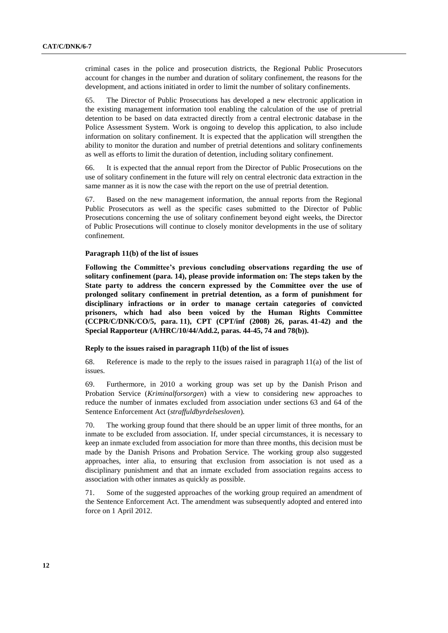criminal cases in the police and prosecution districts, the Regional Public Prosecutors account for changes in the number and duration of solitary confinement, the reasons for the development, and actions initiated in order to limit the number of solitary confinements.

65. The Director of Public Prosecutions has developed a new electronic application in the existing management information tool enabling the calculation of the use of pretrial detention to be based on data extracted directly from a central electronic database in the Police Assessment System. Work is ongoing to develop this application, to also include information on solitary confinement. It is expected that the application will strengthen the ability to monitor the duration and number of pretrial detentions and solitary confinements as well as efforts to limit the duration of detention, including solitary confinement.

66. It is expected that the annual report from the Director of Public Prosecutions on the use of solitary confinement in the future will rely on central electronic data extraction in the same manner as it is now the case with the report on the use of pretrial detention.

67. Based on the new management information, the annual reports from the Regional Public Prosecutors as well as the specific cases submitted to the Director of Public Prosecutions concerning the use of solitary confinement beyond eight weeks, the Director of Public Prosecutions will continue to closely monitor developments in the use of solitary confinement.

## **Paragraph 11(b) of the list of issues**

**Following the Committee's previous concluding observations regarding the use of solitary confinement (para. 14), please provide information on: The steps taken by the State party to address the concern expressed by the Committee over the use of prolonged solitary confinement in pretrial detention, as a form of punishment for disciplinary infractions or in order to manage certain categories of convicted prisoners, which had also been voiced by the Human Rights Committee (CCPR/C/DNK/CO/5, para. 11), CPT (CPT/inf (2008) 26, paras. 41-42) and the Special Rapporteur (A/HRC/10/44/Add.2, paras. 44-45, 74 and 78(b)).**

#### **Reply to the issues raised in paragraph 11(b) of the list of issues**

68. Reference is made to the reply to the issues raised in paragraph 11(a) of the list of issues.

69. Furthermore, in 2010 a working group was set up by the Danish Prison and Probation Service (*Kriminalforsorgen*) with a view to considering new approaches to reduce the number of inmates excluded from association under sections 63 and 64 of the Sentence Enforcement Act (*straffuldbyrdelsesloven*)*.*

70. The working group found that there should be an upper limit of three months, for an inmate to be excluded from association. If, under special circumstances, it is necessary to keep an inmate excluded from association for more than three months, this decision must be made by the Danish Prisons and Probation Service. The working group also suggested approaches, inter alia, to ensuring that exclusion from association is not used as a disciplinary punishment and that an inmate excluded from association regains access to association with other inmates as quickly as possible.

71. Some of the suggested approaches of the working group required an amendment of the Sentence Enforcement Act. The amendment was subsequently adopted and entered into force on 1 April 2012.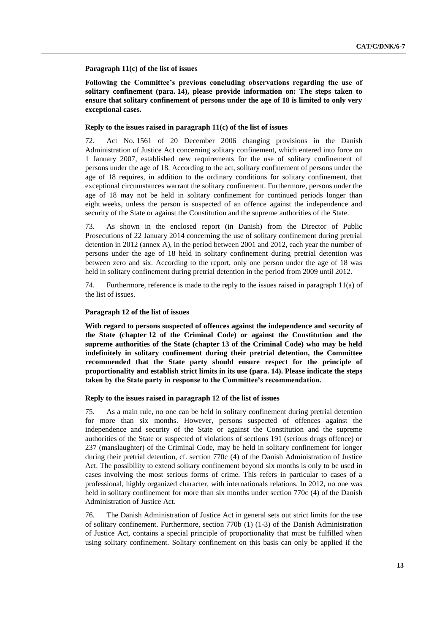## **Paragraph 11(c) of the list of issues**

**Following the Committee's previous concluding observations regarding the use of solitary confinement (para. 14), please provide information on: The steps taken to ensure that solitary confinement of persons under the age of 18 is limited to only very exceptional cases.**

## **Reply to the issues raised in paragraph 11(c) of the list of issues**

72. Act No. 1561 of 20 December 2006 changing provisions in the Danish Administration of Justice Act concerning solitary confinement, which entered into force on 1 January 2007, established new requirements for the use of solitary confinement of persons under the age of 18. According to the act, solitary confinement of persons under the age of 18 requires, in addition to the ordinary conditions for solitary confinement, that exceptional circumstances warrant the solitary confinement. Furthermore, persons under the age of 18 may not be held in solitary confinement for continued periods longer than eight weeks, unless the person is suspected of an offence against the independence and security of the State or against the Constitution and the supreme authorities of the State.

73. As shown in the enclosed report (in Danish) from the Director of Public Prosecutions of 22 January 2014 concerning the use of solitary confinement during pretrial detention in 2012 (annex A), in the period between 2001 and 2012, each year the number of persons under the age of 18 held in solitary confinement during pretrial detention was between zero and six. According to the report, only one person under the age of 18 was held in solitary confinement during pretrial detention in the period from 2009 until 2012.

74. Furthermore, reference is made to the reply to the issues raised in paragraph 11(a) of the list of issues.

#### **Paragraph 12 of the list of issues**

**With regard to persons suspected of offences against the independence and security of the State (chapter 12 of the Criminal Code) or against the Constitution and the supreme authorities of the State (chapter 13 of the Criminal Code) who may be held indefinitely in solitary confinement during their pretrial detention, the Committee recommended that the State party should ensure respect for the principle of proportionality and establish strict limits in its use (para. 14). Please indicate the steps taken by the State party in response to the Committee's recommendation.**

#### **Reply to the issues raised in paragraph 12 of the list of issues**

75. As a main rule, no one can be held in solitary confinement during pretrial detention for more than six months. However, persons suspected of offences against the independence and security of the State or against the Constitution and the supreme authorities of the State or suspected of violations of sections 191 (serious drugs offence) or 237 (manslaughter) of the Criminal Code, may be held in solitary confinement for longer during their pretrial detention, cf. section 770c (4) of the Danish Administration of Justice Act. The possibility to extend solitary confinement beyond six months is only to be used in cases involving the most serious forms of crime. This refers in particular to cases of a professional, highly organized character, with internationals relations. In 2012, no one was held in solitary confinement for more than six months under section 770c (4) of the Danish Administration of Justice Act.

76. The Danish Administration of Justice Act in general sets out strict limits for the use of solitary confinement. Furthermore, section 770b (1) (1-3) of the Danish Administration of Justice Act, contains a special principle of proportionality that must be fulfilled when using solitary confinement. Solitary confinement on this basis can only be applied if the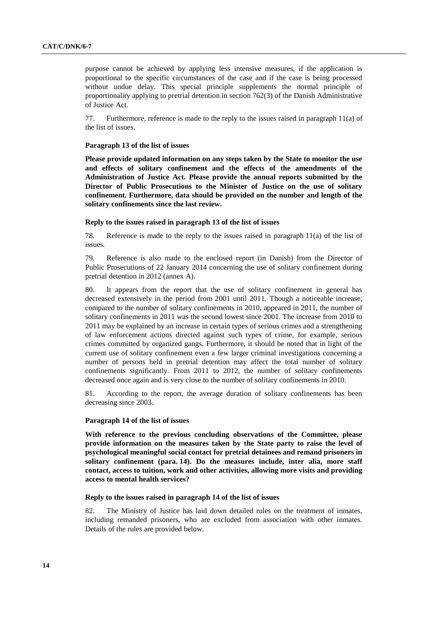purpose cannot be achieved by applying less intensive measures, if the application is proportional to the specific circumstances of the case and if the case is being processed without undue delay. This special principle supplements the normal principle of proportionality applying to pretrial detention in section 762(3) of the Danish Administrative of Justice Act.

77. Furthermore, reference is made to the reply to the issues raised in paragraph 11(a) of the list of issues.

#### **Paragraph 13 of the list of issues**

**Please provide updated information on any steps taken by the State to monitor the use and effects of solitary confinement and the effects of the amendments of the Administration of Justice Act. Please provide the annual reports submitted by the Director of Public Prosecutions to the Minister of Justice on the use of solitary confinement. Furthermore, data should be provided on the number and length of the solitary confinements since the last review.**

#### **Reply to the issues raised in paragraph 13 of the list of issues**

78. Reference is made to the reply to the issues raised in paragraph 11(a) of the list of issues.

79. Reference is also made to the enclosed report (in Danish) from the Director of Public Prosecutions of 22 January 2014 concerning the use of solitary confinement during pretrial detention in 2012 (annex A).

80. It appears from the report that the use of solitary confinement in general has decreased extensively in the period from 2001 until 2011. Though a noticeable increase, compared to the number of solitary confinements in 2010, appeared in 2011, the number of solitary confinements in 2011 was the second lowest since 2001. The increase from 2010 to 2011 may be explained by an increase in certain types of serious crimes and a strengthening of law enforcement actions directed against such types of crime, for example, serious crimes committed by organized gangs. Furthermore, it should be noted that in light of the current use of solitary confinement even a few larger criminal investigations concerning a number of persons held in pretrial detention may affect the total number of solitary confinements significantly. From 2011 to 2012, the number of solitary confinements decreased once again and is very close to the number of solitary confinements in 2010.

81. According to the report, the average duration of solitary confinements has been decreasing since 2003.

#### **Paragraph 14 of the list of issues**

**With reference to the previous concluding observations of the Committee, please provide information on the measures taken by the State party to raise the level of psychological meaningful social contact for pretrial detainees and remand prisoners in solitary confinement (para. 14). Do the measures include, inter alia, more staff contact, access to tuition, work and other activities, allowing more visits and providing access to mental health services?**

## **Reply to the issues raised in paragraph 14 of the list of issues**

82. The Ministry of Justice has laid down detailed rules on the treatment of inmates, including remanded prisoners, who are excluded from association with other inmates. Details of the rules are provided below.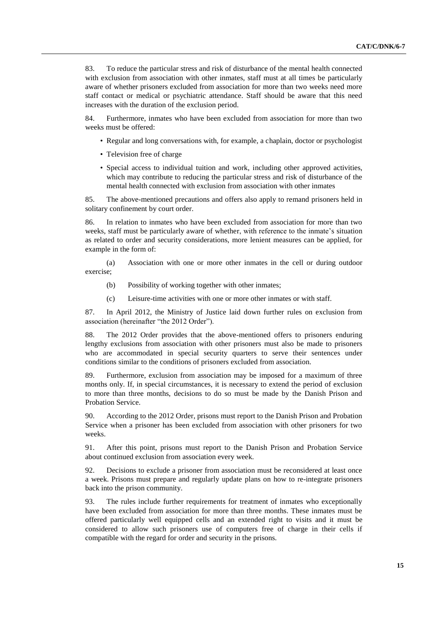83. To reduce the particular stress and risk of disturbance of the mental health connected with exclusion from association with other inmates, staff must at all times be particularly aware of whether prisoners excluded from association for more than two weeks need more staff contact or medical or psychiatric attendance. Staff should be aware that this need increases with the duration of the exclusion period.

84. Furthermore, inmates who have been excluded from association for more than two weeks must be offered:

- Regular and long conversations with, for example, a chaplain, doctor or psychologist
- Television free of charge
- Special access to individual tuition and work, including other approved activities, which may contribute to reducing the particular stress and risk of disturbance of the mental health connected with exclusion from association with other inmates

85. The above-mentioned precautions and offers also apply to remand prisoners held in solitary confinement by court order.

86. In relation to inmates who have been excluded from association for more than two weeks, staff must be particularly aware of whether, with reference to the inmate's situation as related to order and security considerations, more lenient measures can be applied, for example in the form of:

(a) Association with one or more other inmates in the cell or during outdoor exercise;

- (b) Possibility of working together with other inmates;
- (c) Leisure-time activities with one or more other inmates or with staff.

87. In April 2012, the Ministry of Justice laid down further rules on exclusion from association (hereinafter "the 2012 Order").

88. The 2012 Order provides that the above-mentioned offers to prisoners enduring lengthy exclusions from association with other prisoners must also be made to prisoners who are accommodated in special security quarters to serve their sentences under conditions similar to the conditions of prisoners excluded from association.

89. Furthermore, exclusion from association may be imposed for a maximum of three months only. If, in special circumstances, it is necessary to extend the period of exclusion to more than three months, decisions to do so must be made by the Danish Prison and Probation Service.

90. According to the 2012 Order, prisons must report to the Danish Prison and Probation Service when a prisoner has been excluded from association with other prisoners for two weeks.

91. After this point, prisons must report to the Danish Prison and Probation Service about continued exclusion from association every week.

92. Decisions to exclude a prisoner from association must be reconsidered at least once a week. Prisons must prepare and regularly update plans on how to re-integrate prisoners back into the prison community.

93. The rules include further requirements for treatment of inmates who exceptionally have been excluded from association for more than three months. These inmates must be offered particularly well equipped cells and an extended right to visits and it must be considered to allow such prisoners use of computers free of charge in their cells if compatible with the regard for order and security in the prisons.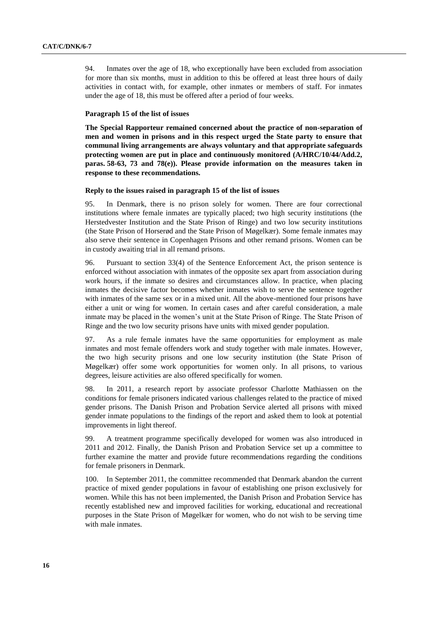94. Inmates over the age of 18, who exceptionally have been excluded from association for more than six months, must in addition to this be offered at least three hours of daily activities in contact with, for example, other inmates or members of staff. For inmates under the age of 18, this must be offered after a period of four weeks.

## **Paragraph 15 of the list of issues**

**The Special Rapporteur remained concerned about the practice of non-separation of men and women in prisons and in this respect urged the State party to ensure that communal living arrangements are always voluntary and that appropriate safeguards protecting women are put in place and continuously monitored (A/HRC/10/44/Add.2, paras. 58-63, 73 and 78(e)). Please provide information on the measures taken in response to these recommendations.**

## **Reply to the issues raised in paragraph 15 of the list of issues**

95. In Denmark, there is no prison solely for women. There are four correctional institutions where female inmates are typically placed; two high security institutions (the Herstedvester Institution and the State Prison of Ringe) and two low security institutions (the State Prison of Horserød and the State Prison of Møgelkær). Some female inmates may also serve their sentence in Copenhagen Prisons and other remand prisons. Women can be in custody awaiting trial in all remand prisons.

96. Pursuant to section 33(4) of the Sentence Enforcement Act, the prison sentence is enforced without association with inmates of the opposite sex apart from association during work hours, if the inmate so desires and circumstances allow. In practice, when placing inmates the decisive factor becomes whether inmates wish to serve the sentence together with inmates of the same sex or in a mixed unit. All the above-mentioned four prisons have either a unit or wing for women. In certain cases and after careful consideration, a male inmate may be placed in the women's unit at the State Prison of Ringe. The State Prison of Ringe and the two low security prisons have units with mixed gender population.

97. As a rule female inmates have the same opportunities for employment as male inmates and most female offenders work and study together with male inmates. However, the two high security prisons and one low security institution (the State Prison of Møgelkær) offer some work opportunities for women only. In all prisons, to various degrees, leisure activities are also offered specifically for women.

98. In 2011, a research report by associate professor Charlotte Mathiassen on the conditions for female prisoners indicated various challenges related to the practice of mixed gender prisons. The Danish Prison and Probation Service alerted all prisons with mixed gender inmate populations to the findings of the report and asked them to look at potential improvements in light thereof.

99. A treatment programme specifically developed for women was also introduced in 2011 and 2012. Finally, the Danish Prison and Probation Service set up a committee to further examine the matter and provide future recommendations regarding the conditions for female prisoners in Denmark.

100. In September 2011, the committee recommended that Denmark abandon the current practice of mixed gender populations in favour of establishing one prison exclusively for women. While this has not been implemented, the Danish Prison and Probation Service has recently established new and improved facilities for working, educational and recreational purposes in the State Prison of Møgelkær for women, who do not wish to be serving time with male inmates.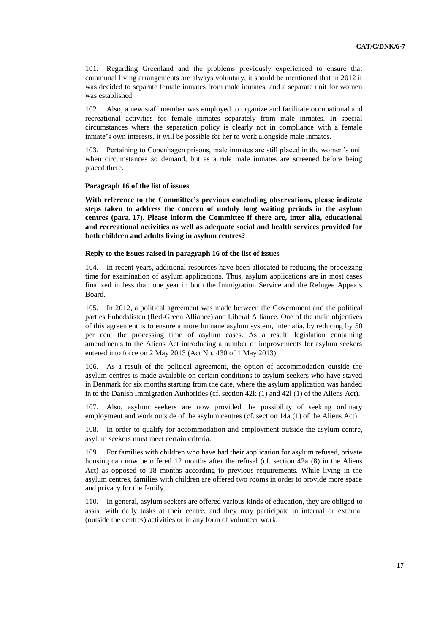101. Regarding Greenland and the problems previously experienced to ensure that communal living arrangements are always voluntary, it should be mentioned that in 2012 it was decided to separate female inmates from male inmates, and a separate unit for women was established.

102. Also, a new staff member was employed to organize and facilitate occupational and recreational activities for female inmates separately from male inmates. In special circumstances where the separation policy is clearly not in compliance with a female inmate's own interests, it will be possible for her to work alongside male inmates.

103. Pertaining to Copenhagen prisons, male inmates are still placed in the women's unit when circumstances so demand, but as a rule male inmates are screened before being placed there.

## **Paragraph 16 of the list of issues**

**With reference to the Committee's previous concluding observations, please indicate steps taken to address the concern of unduly long waiting periods in the asylum centres (para. 17). Please inform the Committee if there are, inter alia, educational and recreational activities as well as adequate social and health services provided for both children and adults living in asylum centres?**

### **Reply to the issues raised in paragraph 16 of the list of issues**

104. In recent years, additional resources have been allocated to reducing the processing time for examination of asylum applications. Thus, asylum applications are in most cases finalized in less than one year in both the Immigration Service and the Refugee Appeals Board.

105. In 2012, a political agreement was made between the Government and the political parties Enhedslisten (Red-Green Alliance) and Liberal Alliance. One of the main objectives of this agreement is to ensure a more humane asylum system, inter alia, by reducing by 50 per cent the processing time of asylum cases. As a result, legislation containing amendments to the Aliens Act introducing a number of improvements for asylum seekers entered into force on 2 May 2013 (Act No. 430 of 1 May 2013).

106. As a result of the political agreement, the option of accommodation outside the asylum centres is made available on certain conditions to asylum seekers who have stayed in Denmark for six months starting from the date, where the asylum application was handed in to the Danish Immigration Authorities (cf. section 42k (1) and 42l (1) of the Aliens Act).

107. Also, asylum seekers are now provided the possibility of seeking ordinary employment and work outside of the asylum centres (cf. section 14a (1) of the Aliens Act).

108. In order to qualify for accommodation and employment outside the asylum centre, asylum seekers must meet certain criteria.

109. For families with children who have had their application for asylum refused, private housing can now be offered 12 months after the refusal (cf. section 42a (8) in the Aliens Act) as opposed to 18 months according to previous requirements. While living in the asylum centres, families with children are offered two rooms in order to provide more space and privacy for the family.

110. In general, asylum seekers are offered various kinds of education, they are obliged to assist with daily tasks at their centre, and they may participate in internal or external (outside the centres) activities or in any form of volunteer work.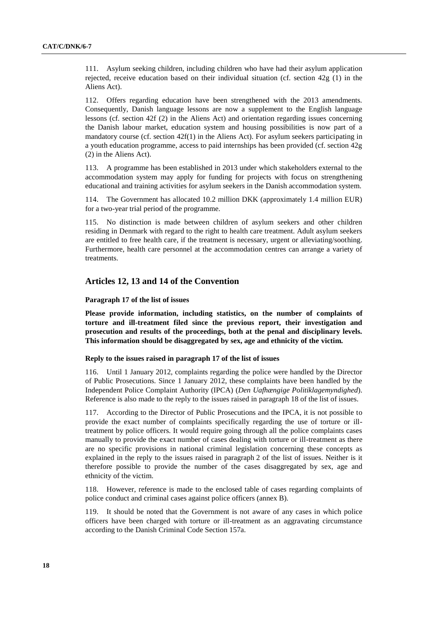111. Asylum seeking children, including children who have had their asylum application rejected, receive education based on their individual situation (cf. section 42g (1) in the Aliens Act).

112. Offers regarding education have been strengthened with the 2013 amendments. Consequently, Danish language lessons are now a supplement to the English language lessons (cf. section 42f (2) in the Aliens Act) and orientation regarding issues concerning the Danish labour market, education system and housing possibilities is now part of a mandatory course (cf. section 42f(1) in the Aliens Act). For asylum seekers participating in a youth education programme, access to paid internships has been provided (cf. section 42g (2) in the Aliens Act).

113. A programme has been established in 2013 under which stakeholders external to the accommodation system may apply for funding for projects with focus on strengthening educational and training activities for asylum seekers in the Danish accommodation system.

114. The Government has allocated 10.2 million DKK (approximately 1.4 million EUR) for a two-year trial period of the programme.

115. No distinction is made between children of asylum seekers and other children residing in Denmark with regard to the right to health care treatment. Adult asylum seekers are entitled to free health care, if the treatment is necessary, urgent or alleviating/soothing. Furthermore, health care personnel at the accommodation centres can arrange a variety of treatments.

# **Articles 12, 13 and 14 of the Convention**

**Paragraph 17 of the list of issues**

**Please provide information, including statistics, on the number of complaints of torture and ill-treatment filed since the previous report, their investigation and prosecution and results of the proceedings, both at the penal and disciplinary levels. This information should be disaggregated by sex, age and ethnicity of the victim.**

## **Reply to the issues raised in paragraph 17 of the list of issues**

116. Until 1 January 2012, complaints regarding the police were handled by the Director of Public Prosecutions. Since 1 January 2012, these complaints have been handled by the Independent Police Complaint Authority (IPCA) (*Den Uafhængige Politiklagemyndighed*). Reference is also made to the reply to the issues raised in paragraph 18 of the list of issues.

117. According to the Director of Public Prosecutions and the IPCA, it is not possible to provide the exact number of complaints specifically regarding the use of torture or illtreatment by police officers. It would require going through all the police complaints cases manually to provide the exact number of cases dealing with torture or ill-treatment as there are no specific provisions in national criminal legislation concerning these concepts as explained in the reply to the issues raised in paragraph 2 of the list of issues. Neither is it therefore possible to provide the number of the cases disaggregated by sex, age and ethnicity of the victim.

118. However, reference is made to the enclosed table of cases regarding complaints of police conduct and criminal cases against police officers (annex B).

119. It should be noted that the Government is not aware of any cases in which police officers have been charged with torture or ill-treatment as an aggravating circumstance according to the Danish Criminal Code Section 157a.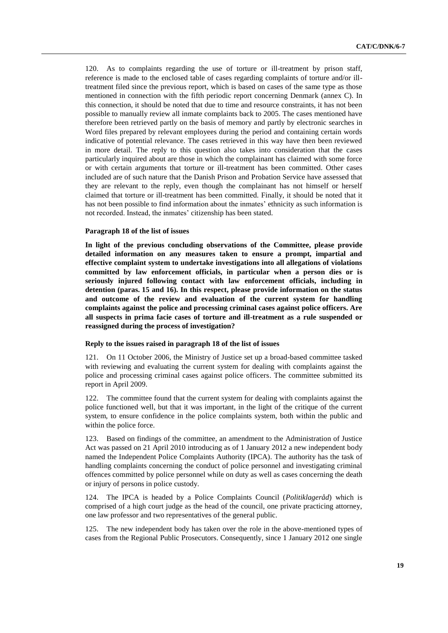120. As to complaints regarding the use of torture or ill-treatment by prison staff, reference is made to the enclosed table of cases regarding complaints of torture and/or illtreatment filed since the previous report, which is based on cases of the same type as those mentioned in connection with the fifth periodic report concerning Denmark (annex C). In this connection, it should be noted that due to time and resource constraints, it has not been possible to manually review all inmate complaints back to 2005. The cases mentioned have therefore been retrieved partly on the basis of memory and partly by electronic searches in Word files prepared by relevant employees during the period and containing certain words indicative of potential relevance. The cases retrieved in this way have then been reviewed in more detail. The reply to this question also takes into consideration that the cases particularly inquired about are those in which the complainant has claimed with some force or with certain arguments that torture or ill-treatment has been committed. Other cases included are of such nature that the Danish Prison and Probation Service have assessed that they are relevant to the reply, even though the complainant has not himself or herself claimed that torture or ill-treatment has been committed. Finally, it should be noted that it has not been possible to find information about the inmates' ethnicity as such information is not recorded. Instead, the inmates' citizenship has been stated.

#### **Paragraph 18 of the list of issues**

**In light of the previous concluding observations of the Committee, please provide detailed information on any measures taken to ensure a prompt, impartial and effective complaint system to undertake investigations into all allegations of violations committed by law enforcement officials, in particular when a person dies or is seriously injured following contact with law enforcement officials, including in detention (paras. 15 and 16). In this respect, please provide information on the status and outcome of the review and evaluation of the current system for handling complaints against the police and processing criminal cases against police officers. Are all suspects in prima facie cases of torture and ill-treatment as a rule suspended or reassigned during the process of investigation?**

## **Reply to the issues raised in paragraph 18 of the list of issues**

121. On 11 October 2006, the Ministry of Justice set up a broad-based committee tasked with reviewing and evaluating the current system for dealing with complaints against the police and processing criminal cases against police officers. The committee submitted its report in April 2009.

122. The committee found that the current system for dealing with complaints against the police functioned well, but that it was important, in the light of the critique of the current system, to ensure confidence in the police complaints system, both within the public and within the police force.

123. Based on findings of the committee, an amendment to the Administration of Justice Act was passed on 21 April 2010 introducing as of 1 January 2012 a new independent body named the Independent Police Complaints Authority (IPCA)*.* The authority has the task of handling complaints concerning the conduct of police personnel and investigating criminal offences committed by police personnel while on duty as well as cases concerning the death or injury of persons in police custody.

124. The IPCA is headed by a Police Complaints Council (*Politiklageråd*) which is comprised of a high court judge as the head of the council, one private practicing attorney, one law professor and two representatives of the general public.

125. The new independent body has taken over the role in the above-mentioned types of cases from the Regional Public Prosecutors. Consequently, since 1 January 2012 one single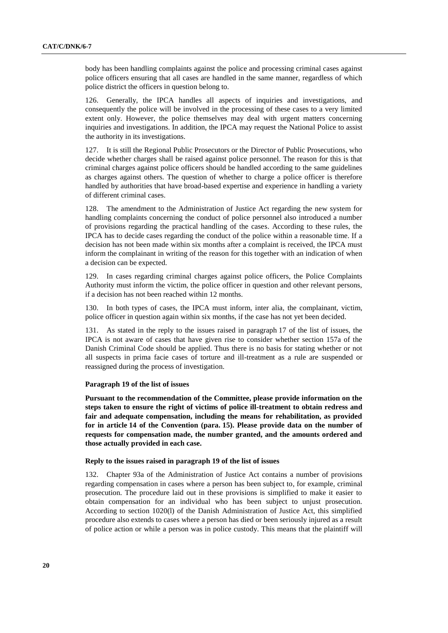body has been handling complaints against the police and processing criminal cases against police officers ensuring that all cases are handled in the same manner, regardless of which police district the officers in question belong to.

126. Generally, the IPCA handles all aspects of inquiries and investigations, and consequently the police will be involved in the processing of these cases to a very limited extent only. However, the police themselves may deal with urgent matters concerning inquiries and investigations. In addition, the IPCA may request the National Police to assist the authority in its investigations.

127. It is still the Regional Public Prosecutors or the Director of Public Prosecutions, who decide whether charges shall be raised against police personnel. The reason for this is that criminal charges against police officers should be handled according to the same guidelines as charges against others. The question of whether to charge a police officer is therefore handled by authorities that have broad-based expertise and experience in handling a variety of different criminal cases.

128. The amendment to the Administration of Justice Act regarding the new system for handling complaints concerning the conduct of police personnel also introduced a number of provisions regarding the practical handling of the cases. According to these rules, the IPCA has to decide cases regarding the conduct of the police within a reasonable time. If a decision has not been made within six months after a complaint is received, the IPCA must inform the complainant in writing of the reason for this together with an indication of when a decision can be expected.

129. In cases regarding criminal charges against police officers, the Police Complaints Authority must inform the victim, the police officer in question and other relevant persons, if a decision has not been reached within 12 months.

130. In both types of cases, the IPCA must inform, inter alia, the complainant, victim, police officer in question again within six months, if the case has not yet been decided.

131. As stated in the reply to the issues raised in paragraph 17 of the list of issues, the IPCA is not aware of cases that have given rise to consider whether section 157a of the Danish Criminal Code should be applied. Thus there is no basis for stating whether or not all suspects in prima facie cases of torture and ill-treatment as a rule are suspended or reassigned during the process of investigation.

## **Paragraph 19 of the list of issues**

**Pursuant to the recommendation of the Committee, please provide information on the steps taken to ensure the right of victims of police ill-treatment to obtain redress and fair and adequate compensation, including the means for rehabilitation, as provided for in article 14 of the Convention (para. 15). Please provide data on the number of requests for compensation made, the number granted, and the amounts ordered and those actually provided in each case.**

## **Reply to the issues raised in paragraph 19 of the list of issues**

132. Chapter 93a of the Administration of Justice Act contains a number of provisions regarding compensation in cases where a person has been subject to, for example, criminal prosecution. The procedure laid out in these provisions is simplified to make it easier to obtain compensation for an individual who has been subject to unjust prosecution. According to section 1020(l) of the Danish Administration of Justice Act, this simplified procedure also extends to cases where a person has died or been seriously injured as a result of police action or while a person was in police custody. This means that the plaintiff will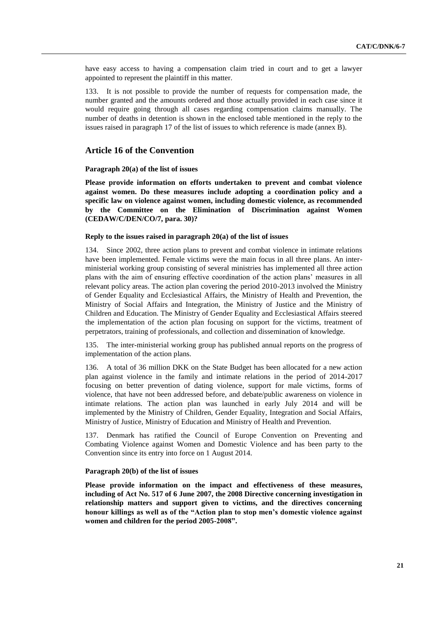have easy access to having a compensation claim tried in court and to get a lawyer appointed to represent the plaintiff in this matter.

133. It is not possible to provide the number of requests for compensation made, the number granted and the amounts ordered and those actually provided in each case since it would require going through all cases regarding compensation claims manually. The number of deaths in detention is shown in the enclosed table mentioned in the reply to the issues raised in paragraph 17 of the list of issues to which reference is made (annex B).

## **Article 16 of the Convention**

## **Paragraph 20(a) of the list of issues**

**Please provide information on efforts undertaken to prevent and combat violence against women. Do these measures include adopting a coordination policy and a specific law on violence against women, including domestic violence, as recommended by the Committee on the Elimination of Discrimination against Women (CEDAW/C/DEN/CO/7, para. 30)?**

## **Reply to the issues raised in paragraph 20(a) of the list of issues**

134. Since 2002, three action plans to prevent and combat violence in intimate relations have been implemented. Female victims were the main focus in all three plans. An interministerial working group consisting of several ministries has implemented all three action plans with the aim of ensuring effective coordination of the action plans' measures in all relevant policy areas. The action plan covering the period 2010-2013 involved the Ministry of Gender Equality and Ecclesiastical Affairs, the Ministry of Health and Prevention, the Ministry of Social Affairs and Integration, the Ministry of Justice and the Ministry of Children and Education. The Ministry of Gender Equality and Ecclesiastical Affairs steered the implementation of the action plan focusing on support for the victims, treatment of perpetrators, training of professionals, and collection and dissemination of knowledge.

135. The inter-ministerial working group has published annual reports on the progress of implementation of the action plans.

136. A total of 36 million DKK on the State Budget has been allocated for a new action plan against violence in the family and intimate relations in the period of 2014-2017 focusing on better prevention of dating violence, support for male victims, forms of violence, that have not been addressed before, and debate/public awareness on violence in intimate relations. The action plan was launched in early July 2014 and will be implemented by the Ministry of Children, Gender Equality, Integration and Social Affairs, Ministry of Justice, Ministry of Education and Ministry of Health and Prevention.

137. Denmark has ratified the Council of Europe Convention on Preventing and Combating Violence against Women and Domestic Violence and has been party to the Convention since its entry into force on 1 August 2014.

#### **Paragraph 20(b) of the list of issues**

**Please provide information on the impact and effectiveness of these measures, including of Act No. 517 of 6 June 2007, the 2008 Directive concerning investigation in relationship matters and support given to victims, and the directives concerning honour killings as well as of the "Action plan to stop men's domestic violence against women and children for the period 2005-2008".**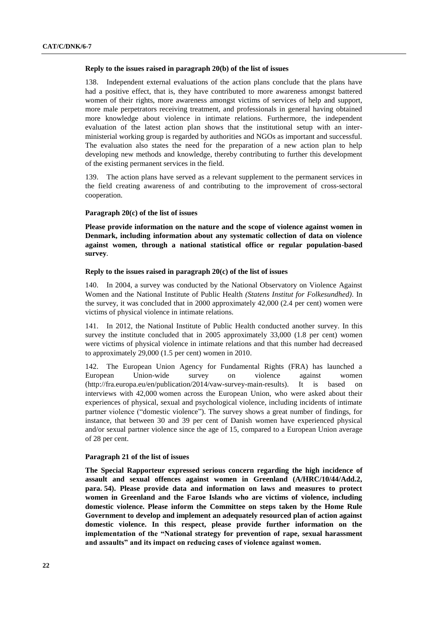#### **Reply to the issues raised in paragraph 20(b) of the list of issues**

138. Independent external evaluations of the action plans conclude that the plans have had a positive effect, that is, they have contributed to more awareness amongst battered women of their rights, more awareness amongst victims of services of help and support, more male perpetrators receiving treatment, and professionals in general having obtained more knowledge about violence in intimate relations. Furthermore, the independent evaluation of the latest action plan shows that the institutional setup with an interministerial working group is regarded by authorities and NGOs as important and successful. The evaluation also states the need for the preparation of a new action plan to help developing new methods and knowledge, thereby contributing to further this development of the existing permanent services in the field.

139. The action plans have served as a relevant supplement to the permanent services in the field creating awareness of and contributing to the improvement of cross-sectoral cooperation.

#### **Paragraph 20(c) of the list of issues**

**Please provide information on the nature and the scope of violence against women in Denmark, including information about any systematic collection of data on violence against women, through a national statistical office or regular population-based survey***.*

#### **Reply to the issues raised in paragraph 20(c) of the list of issues**

140. In 2004, a survey was conducted by the National Observatory on Violence Against Women and the National Institute of Public Health *(Statens Institut for Folkesundhed)*. In the survey, it was concluded that in 2000 approximately 42,000 (2.4 per cent) women were victims of physical violence in intimate relations.

141. In 2012, the National Institute of Public Health conducted another survey. In this survey the institute concluded that in 2005 approximately 33,000 (1.8 per cent) women were victims of physical violence in intimate relations and that this number had decreased to approximately 29,000 (1.5 per cent) women in 2010.

142. The European Union Agency for Fundamental Rights (FRA) has launched a European Union-wide survey on violence against women (http://fra.europa.eu/en/publication/2014/vaw-survey-main-results). It is based on interviews with 42,000 women across the European Union, who were asked about their experiences of physical, sexual and psychological violence, including incidents of intimate partner violence ("domestic violence"). The survey shows a great number of findings, for instance, that between 30 and 39 per cent of Danish women have experienced physical and/or sexual partner violence since the age of 15, compared to a European Union average of 28 per cent.

## **Paragraph 21 of the list of issues**

**The Special Rapporteur expressed serious concern regarding the high incidence of assault and sexual offences against women in Greenland (A/HRC/10/44/Add.2, para. 54). Please provide data and information on laws and measures to protect women in Greenland and the Faroe Islands who are victims of violence, including domestic violence. Please inform the Committee on steps taken by the Home Rule Government to develop and implement an adequately resourced plan of action against domestic violence. In this respect, please provide further information on the implementation of the "National strategy for prevention of rape, sexual harassment and assaults" and its impact on reducing cases of violence against women.**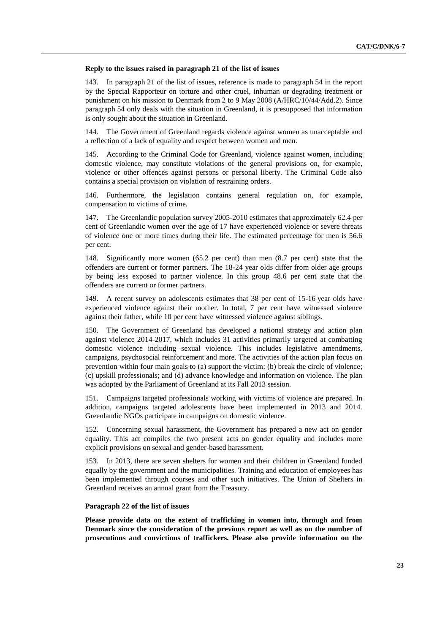#### **Reply to the issues raised in paragraph 21 of the list of issues**

143. In paragraph 21 of the list of issues, reference is made to paragraph 54 in the report by the Special Rapporteur on torture and other cruel, inhuman or degrading treatment or punishment on his mission to Denmark from 2 to 9 May 2008 (A/HRC/10/44/Add.2). Since paragraph 54 only deals with the situation in Greenland, it is presupposed that information is only sought about the situation in Greenland.

144. The Government of Greenland regards violence against women as unacceptable and a reflection of a lack of equality and respect between women and men.

145. According to the Criminal Code for Greenland, violence against women, including domestic violence, may constitute violations of the general provisions on, for example, violence or other offences against persons or personal liberty. The Criminal Code also contains a special provision on violation of restraining orders.

146. Furthermore, the legislation contains general regulation on, for example, compensation to victims of crime.

147. The Greenlandic population survey 2005-2010 estimates that approximately 62.4 per cent of Greenlandic women over the age of 17 have experienced violence or severe threats of violence one or more times during their life. The estimated percentage for men is 56.6 per cent.

148. Significantly more women (65.2 per cent) than men (8.7 per cent) state that the offenders are current or former partners. The 18-24 year olds differ from older age groups by being less exposed to partner violence. In this group 48.6 per cent state that the offenders are current or former partners.

149. A recent survey on adolescents estimates that 38 per cent of 15-16 year olds have experienced violence against their mother. In total, 7 per cent have witnessed violence against their father, while 10 per cent have witnessed violence against siblings.

150. The Government of Greenland has developed a national strategy and action plan against violence 2014-2017, which includes 31 activities primarily targeted at combatting domestic violence including sexual violence. This includes legislative amendments, campaigns, psychosocial reinforcement and more. The activities of the action plan focus on prevention within four main goals to (a) support the victim; (b) break the circle of violence; (c) upskill professionals; and (d) advance knowledge and information on violence. The plan was adopted by the Parliament of Greenland at its Fall 2013 session.

151. Campaigns targeted professionals working with victims of violence are prepared. In addition, campaigns targeted adolescents have been implemented in 2013 and 2014. Greenlandic NGOs participate in campaigns on domestic violence.

152. Concerning sexual harassment, the Government has prepared a new act on gender equality. This act compiles the two present acts on gender equality and includes more explicit provisions on sexual and gender-based harassment.

153. In 2013, there are seven shelters for women and their children in Greenland funded equally by the government and the municipalities. Training and education of employees has been implemented through courses and other such initiatives. The Union of Shelters in Greenland receives an annual grant from the Treasury.

## **Paragraph 22 of the list of issues**

**Please provide data on the extent of trafficking in women into, through and from Denmark since the consideration of the previous report as well as on the number of prosecutions and convictions of traffickers. Please also provide information on the**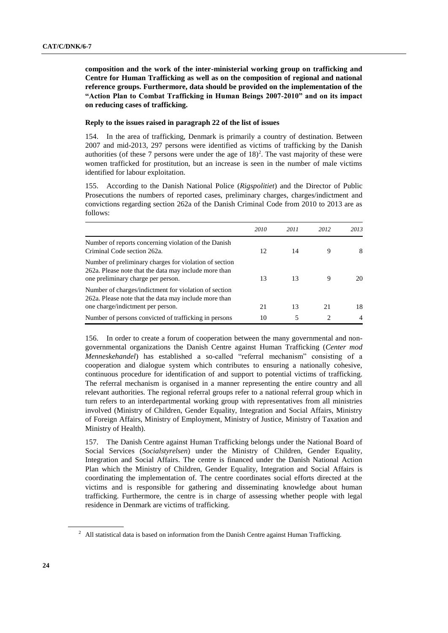**composition and the work of the inter-ministerial working group on trafficking and Centre for Human Trafficking as well as on the composition of regional and national reference groups. Furthermore, data should be provided on the implementation of the "Action Plan to Combat Trafficking in Human Beings 2007-2010" and on its impact on reducing cases of trafficking.**

## **Reply to the issues raised in paragraph 22 of the list of issues**

154. In the area of trafficking, Denmark is primarily a country of destination. Between 2007 and mid-2013, 297 persons were identified as victims of trafficking by the Danish authorities (of these 7 persons were under the age of  $18)^2$ . The vast majority of these were women trafficked for prostitution, but an increase is seen in the number of male victims identified for labour exploitation.

155. According to the Danish National Police (*Rigspolitiet*) and the Director of Public Prosecutions the numbers of reported cases, preliminary charges, charges/indictment and convictions regarding section 262a of the Danish Criminal Code from 2010 to 2013 are as follows:

|                                                                                                                                                       | 2010 | 2011 | 2012 | 2013 |
|-------------------------------------------------------------------------------------------------------------------------------------------------------|------|------|------|------|
| Number of reports concerning violation of the Danish<br>Criminal Code section 262a.                                                                   | 12   | 14   |      | 8    |
| Number of preliminary charges for violation of section<br>262a. Please note that the data may include more than<br>one preliminary charge per person. | 13   | 13   | 9    | 20   |
| Number of charges/indictment for violation of section<br>262a. Please note that the data may include more than<br>one charge/indictment per person.   | 21   | 13   | 21   | 18   |
| Number of persons convicted of trafficking in persons                                                                                                 | 10   | 5    | 2    | 4    |

156. In order to create a forum of cooperation between the many governmental and nongovernmental organizations the Danish Centre against Human Trafficking (*Center mod Menneskehandel*) has established a so-called "referral mechanism" consisting of a cooperation and dialogue system which contributes to ensuring a nationally cohesive, continuous procedure for identification of and support to potential victims of trafficking. The referral mechanism is organised in a manner representing the entire country and all relevant authorities. The regional referral groups refer to a national referral group which in turn refers to an interdepartmental working group with representatives from all ministries involved (Ministry of Children, Gender Equality, Integration and Social Affairs, Ministry of Foreign Affairs, Ministry of Employment, Ministry of Justice, Ministry of Taxation and Ministry of Health).

157. The Danish Centre against Human Trafficking belongs under the National Board of Social Services (*Socialstyrelsen*) under the Ministry of Children, Gender Equality, Integration and Social Affairs. The centre is financed under the Danish National Action Plan which the Ministry of Children, Gender Equality, Integration and Social Affairs is coordinating the implementation of. The centre coordinates social efforts directed at the victims and is responsible for gathering and disseminating knowledge about human trafficking. Furthermore, the centre is in charge of assessing whether people with legal residence in Denmark are victims of trafficking.

 $2$  All statistical data is based on information from the Danish Centre against Human Trafficking.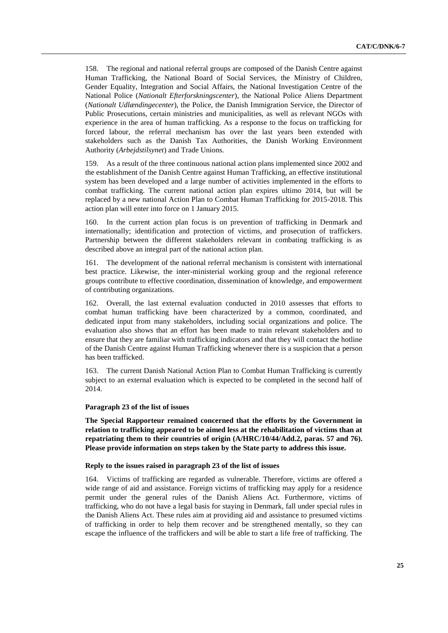158. The regional and national referral groups are composed of the Danish Centre against Human Trafficking, the National Board of Social Services, the Ministry of Children, Gender Equality, Integration and Social Affairs, the National Investigation Centre of the National Police (*Nationalt Efterforskningscenter*), the National Police Aliens Department (*Nationalt Udlændingecenter*), the Police, the Danish Immigration Service, the Director of Public Prosecutions, certain ministries and municipalities, as well as relevant NGOs with experience in the area of human trafficking. As a response to the focus on trafficking for forced labour, the referral mechanism has over the last years been extended with stakeholders such as the Danish Tax Authorities, the Danish Working Environment Authority (*Arbejdstilsynet*) and Trade Unions.

159. As a result of the three continuous national action plans implemented since 2002 and the establishment of the Danish Centre against Human Trafficking, an effective institutional system has been developed and a large number of activities implemented in the efforts to combat trafficking. The current national action plan expires ultimo 2014, but will be replaced by a new national Action Plan to Combat Human Trafficking for 2015-2018. This action plan will enter into force on 1 January 2015.

160. In the current action plan focus is on prevention of trafficking in Denmark and internationally; identification and protection of victims, and prosecution of traffickers. Partnership between the different stakeholders relevant in combating trafficking is as described above an integral part of the national action plan.

161. The development of the national referral mechanism is consistent with international best practice. Likewise, the inter-ministerial working group and the regional reference groups contribute to effective coordination, dissemination of knowledge, and empowerment of contributing organizations.

162. Overall, the last external evaluation conducted in 2010 assesses that efforts to combat human trafficking have been characterized by a common, coordinated, and dedicated input from many stakeholders, including social organizations and police. The evaluation also shows that an effort has been made to train relevant stakeholders and to ensure that they are familiar with trafficking indicators and that they will contact the hotline of the Danish Centre against Human Trafficking whenever there is a suspicion that a person has been trafficked.

163. The current Danish National Action Plan to Combat Human Trafficking is currently subject to an external evaluation which is expected to be completed in the second half of 2014.

## **Paragraph 23 of the list of issues**

**The Special Rapporteur remained concerned that the efforts by the Government in relation to trafficking appeared to be aimed less at the rehabilitation of victims than at repatriating them to their countries of origin (A/HRC/10/44/Add.2, paras. 57 and 76). Please provide information on steps taken by the State party to address this issue.**

## **Reply to the issues raised in paragraph 23 of the list of issues**

164. Victims of trafficking are regarded as vulnerable. Therefore, victims are offered a wide range of aid and assistance. Foreign victims of trafficking may apply for a residence permit under the general rules of the Danish Aliens Act. Furthermore, victims of trafficking, who do not have a legal basis for staying in Denmark, fall under special rules in the Danish Aliens Act. These rules aim at providing aid and assistance to presumed victims of trafficking in order to help them recover and be strengthened mentally, so they can escape the influence of the traffickers and will be able to start a life free of trafficking. The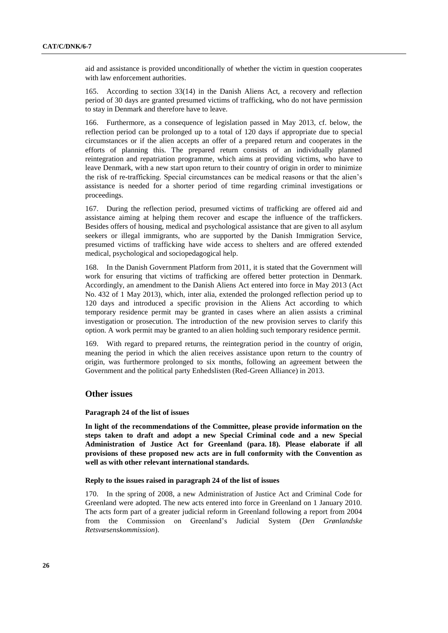aid and assistance is provided unconditionally of whether the victim in question cooperates with law enforcement authorities.

165. According to section 33(14) in the Danish Aliens Act, a recovery and reflection period of 30 days are granted presumed victims of trafficking, who do not have permission to stay in Denmark and therefore have to leave.

166. Furthermore, as a consequence of legislation passed in May 2013, cf. below, the reflection period can be prolonged up to a total of 120 days if appropriate due to special circumstances or if the alien accepts an offer of a prepared return and cooperates in the efforts of planning this. The prepared return consists of an individually planned reintegration and repatriation programme, which aims at providing victims, who have to leave Denmark, with a new start upon return to their country of origin in order to minimize the risk of re-trafficking. Special circumstances can be medical reasons or that the alien's assistance is needed for a shorter period of time regarding criminal investigations or proceedings.

167. During the reflection period, presumed victims of trafficking are offered aid and assistance aiming at helping them recover and escape the influence of the traffickers. Besides offers of housing, medical and psychological assistance that are given to all asylum seekers or illegal immigrants, who are supported by the Danish Immigration Service, presumed victims of trafficking have wide access to shelters and are offered extended medical, psychological and sociopedagogical help.

168. In the Danish Government Platform from 2011, it is stated that the Government will work for ensuring that victims of trafficking are offered better protection in Denmark. Accordingly, an amendment to the Danish Aliens Act entered into force in May 2013 (Act No. 432 of 1 May 2013), which, inter alia, extended the prolonged reflection period up to 120 days and introduced a specific provision in the Aliens Act according to which temporary residence permit may be granted in cases where an alien assists a criminal investigation or prosecution. The introduction of the new provision serves to clarify this option. A work permit may be granted to an alien holding such temporary residence permit.

169. With regard to prepared returns, the reintegration period in the country of origin, meaning the period in which the alien receives assistance upon return to the country of origin, was furthermore prolonged to six months, following an agreement between the Government and the political party Enhedslisten (Red-Green Alliance) in 2013.

# **Other issues**

#### **Paragraph 24 of the list of issues**

**In light of the recommendations of the Committee, please provide information on the steps taken to draft and adopt a new Special Criminal code and a new Special Administration of Justice Act for Greenland (para. 18). Please elaborate if all provisions of these proposed new acts are in full conformity with the Convention as well as with other relevant international standards.**

### **Reply to the issues raised in paragraph 24 of the list of issues**

170. In the spring of 2008, a new Administration of Justice Act and Criminal Code for Greenland were adopted. The new acts entered into force in Greenland on 1 January 2010. The acts form part of a greater judicial reform in Greenland following a report from 2004 from the Commission on Greenland's Judicial System (*Den Grønlandske Retsvæsenskommission*).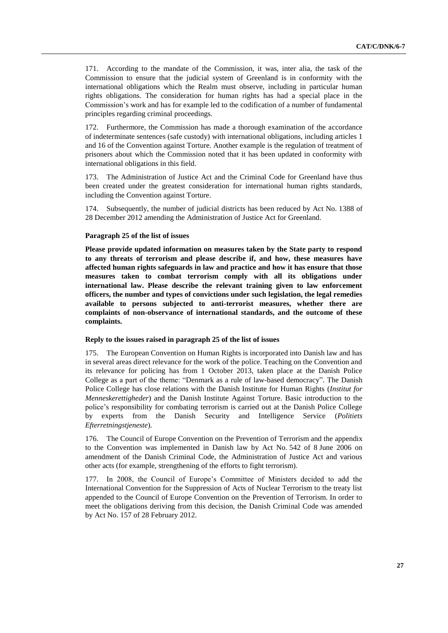171. According to the mandate of the Commission, it was, inter alia, the task of the Commission to ensure that the judicial system of Greenland is in conformity with the international obligations which the Realm must observe, including in particular human rights obligations. The consideration for human rights has had a special place in the Commission's work and has for example led to the codification of a number of fundamental principles regarding criminal proceedings.

172. Furthermore, the Commission has made a thorough examination of the accordance of indeterminate sentences (safe custody) with international obligations, including articles 1 and 16 of the Convention against Torture. Another example is the regulation of treatment of prisoners about which the Commission noted that it has been updated in conformity with international obligations in this field.

The Administration of Justice Act and the Criminal Code for Greenland have thus been created under the greatest consideration for international human rights standards, including the Convention against Torture.

174. Subsequently, the number of judicial districts has been reduced by Act No. 1388 of 28 December 2012 amending the Administration of Justice Act for Greenland.

## **Paragraph 25 of the list of issues**

**Please provide updated information on measures taken by the State party to respond to any threats of terrorism and please describe if, and how, these measures have affected human rights safeguards in law and practice and how it has ensure that those measures taken to combat terrorism comply with all its obligations under international law. Please describe the relevant training given to law enforcement officers, the number and types of convictions under such legislation, the legal remedies available to persons subjected to anti-terrorist measures, whether there are complaints of non-observance of international standards, and the outcome of these complaints.**

## **Reply to the issues raised in paragraph 25 of the list of issues**

175. The European Convention on Human Rights is incorporated into Danish law and has in several areas direct relevance for the work of the police. Teaching on the Convention and its relevance for policing has from 1 October 2013, taken place at the Danish Police College as a part of the theme: "Denmark as a rule of law-based democracy". The Danish Police College has close relations with the Danish Institute for Human Rights (*Institut for Menneskerettigheder*) and the Danish Institute Against Torture. Basic introduction to the police's responsibility for combating terrorism is carried out at the Danish Police College by experts from the Danish Security and Intelligence Service (*Politiets Efterretningstjeneste*)*.*

176. The Council of Europe Convention on the Prevention of Terrorism and the appendix to the Convention was implemented in Danish law by Act No. 542 of 8 June 2006 on amendment of the Danish Criminal Code, the Administration of Justice Act and various other acts (for example, strengthening of the efforts to fight terrorism).

177. In 2008, the Council of Europe's Committee of Ministers decided to add the International Convention for the Suppression of Acts of Nuclear Terrorism to the treaty list appended to the Council of Europe Convention on the Prevention of Terrorism. In order to meet the obligations deriving from this decision, the Danish Criminal Code was amended by Act No. 157 of 28 February 2012.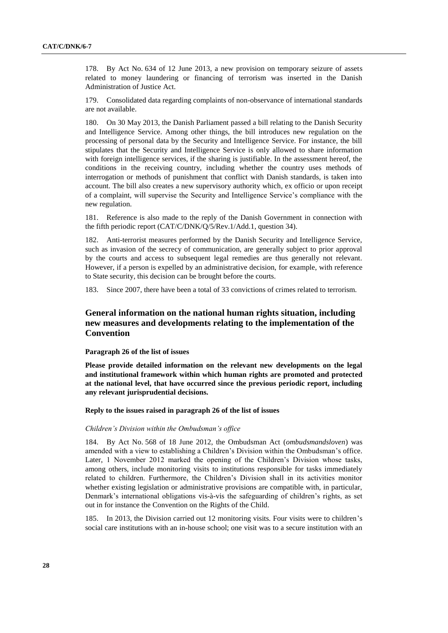178. By Act No. 634 of 12 June 2013, a new provision on temporary seizure of assets related to money laundering or financing of terrorism was inserted in the Danish Administration of Justice Act.

179. Consolidated data regarding complaints of non-observance of international standards are not available.

180. On 30 May 2013, the Danish Parliament passed a bill relating to the Danish Security and Intelligence Service. Among other things, the bill introduces new regulation on the processing of personal data by the Security and Intelligence Service. For instance, the bill stipulates that the Security and Intelligence Service is only allowed to share information with foreign intelligence services, if the sharing is justifiable. In the assessment hereof, the conditions in the receiving country, including whether the country uses methods of interrogation or methods of punishment that conflict with Danish standards, is taken into account. The bill also creates a new supervisory authority which, ex officio or upon receipt of a complaint, will supervise the Security and Intelligence Service's compliance with the new regulation.

181. Reference is also made to the reply of the Danish Government in connection with the fifth periodic report (CAT/C/DNK/Q/5/Rev.1/Add.1, question 34).

182. Anti-terrorist measures performed by the Danish Security and Intelligence Service, such as invasion of the secrecy of communication, are generally subject to prior approval by the courts and access to subsequent legal remedies are thus generally not relevant. However, if a person is expelled by an administrative decision, for example, with reference to State security, this decision can be brought before the courts.

183. Since 2007, there have been a total of 33 convictions of crimes related to terrorism.

# **General information on the national human rights situation, including new measures and developments relating to the implementation of the Convention**

## **Paragraph 26 of the list of issues**

**Please provide detailed information on the relevant new developments on the legal and institutional framework within which human rights are promoted and protected at the national level, that have occurred since the previous periodic report, including any relevant jurisprudential decisions.**

### **Reply to the issues raised in paragraph 26 of the list of issues**

#### *Children's Division within the Ombudsman's office*

184. By Act No. 568 of 18 June 2012, the Ombudsman Act (*ombudsmandsloven*) was amended with a view to establishing a Children's Division within the Ombudsman's office. Later, 1 November 2012 marked the opening of the Children's Division whose tasks, among others, include monitoring visits to institutions responsible for tasks immediately related to children. Furthermore, the Children's Division shall in its activities monitor whether existing legislation or administrative provisions are compatible with, in particular, Denmark's international obligations vis-à-vis the safeguarding of children's rights, as set out in for instance the Convention on the Rights of the Child.

185. In 2013, the Division carried out 12 monitoring visits. Four visits were to children's social care institutions with an in-house school; one visit was to a secure institution with an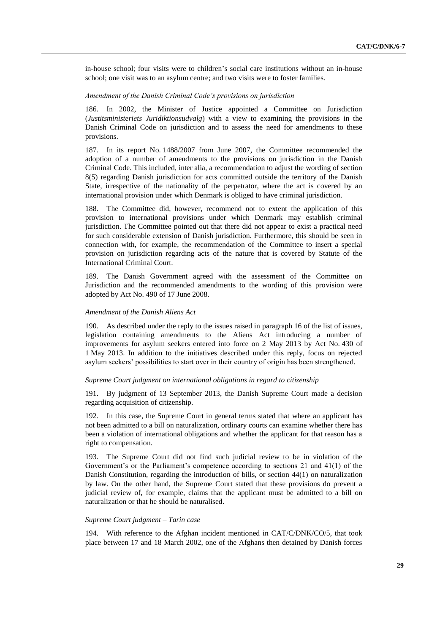in-house school; four visits were to children's social care institutions without an in-house school; one visit was to an asylum centre; and two visits were to foster families.

# *Amendment of the Danish Criminal Code's provisions on jurisdiction*

186. In 2002, the Minister of Justice appointed a Committee on Jurisdiction (*Justitsministeriets Juridiktionsudvalg*) with a view to examining the provisions in the Danish Criminal Code on jurisdiction and to assess the need for amendments to these provisions.

187. In its report No. 1488/2007 from June 2007, the Committee recommended the adoption of a number of amendments to the provisions on jurisdiction in the Danish Criminal Code. This included, inter alia, a recommendation to adjust the wording of section 8(5) regarding Danish jurisdiction for acts committed outside the territory of the Danish State, irrespective of the nationality of the perpetrator, where the act is covered by an international provision under which Denmark is obliged to have criminal jurisdiction.

188. The Committee did, however, recommend not to extent the application of this provision to international provisions under which Denmark may establish criminal jurisdiction. The Committee pointed out that there did not appear to exist a practical need for such considerable extension of Danish jurisdiction. Furthermore, this should be seen in connection with, for example, the recommendation of the Committee to insert a special provision on jurisdiction regarding acts of the nature that is covered by Statute of the International Criminal Court.

189. The Danish Government agreed with the assessment of the Committee on Jurisdiction and the recommended amendments to the wording of this provision were adopted by Act No. 490 of 17 June 2008.

#### *Amendment of the Danish Aliens Act*

190. As described under the reply to the issues raised in paragraph 16 of the list of issues, legislation containing amendments to the Aliens Act introducing a number of improvements for asylum seekers entered into force on 2 May 2013 by Act No. 430 of 1 May 2013. In addition to the initiatives described under this reply, focus on rejected asylum seekers' possibilities to start over in their country of origin has been strengthened.

#### *Supreme Court judgment on international obligations in regard to citizenship*

191. By judgment of 13 September 2013, the Danish Supreme Court made a decision regarding acquisition of citizenship.

192. In this case, the Supreme Court in general terms stated that where an applicant has not been admitted to a bill on naturalization, ordinary courts can examine whether there has been a violation of international obligations and whether the applicant for that reason has a right to compensation.

193. The Supreme Court did not find such judicial review to be in violation of the Government's or the Parliament's competence according to sections 21 and 41(1) of the Danish Constitution, regarding the introduction of bills, or section 44(1) on naturalization by law. On the other hand, the Supreme Court stated that these provisions do prevent a judicial review of, for example, claims that the applicant must be admitted to a bill on naturalization or that he should be naturalised.

## *Supreme Court judgment – Tarin case*

194. With reference to the Afghan incident mentioned in CAT/C/DNK/CO/5, that took place between 17 and 18 March 2002, one of the Afghans then detained by Danish forces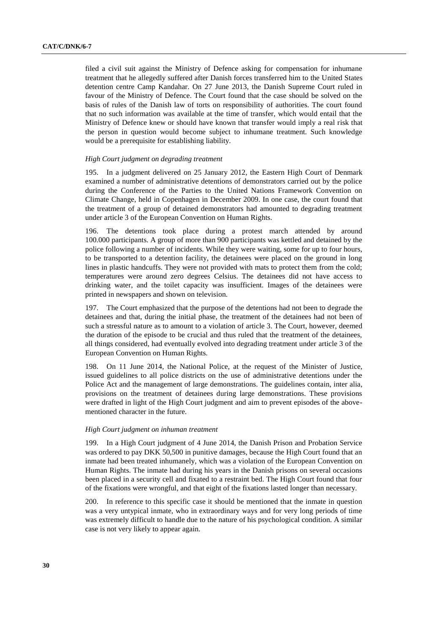filed a civil suit against the Ministry of Defence asking for compensation for inhumane treatment that he allegedly suffered after Danish forces transferred him to the United States detention centre Camp Kandahar. On 27 June 2013, the Danish Supreme Court ruled in favour of the Ministry of Defence. The Court found that the case should be solved on the basis of rules of the Danish law of torts on responsibility of authorities. The court found that no such information was available at the time of transfer, which would entail that the Ministry of Defence knew or should have known that transfer would imply a real risk that the person in question would become subject to inhumane treatment. Such knowledge would be a prerequisite for establishing liability.

## *High Court judgment on degrading treatment*

195. In a judgment delivered on 25 January 2012, the Eastern High Court of Denmark examined a number of administrative detentions of demonstrators carried out by the police during the Conference of the Parties to the United Nations Framework Convention on Climate Change, held in Copenhagen in December 2009. In one case, the court found that the treatment of a group of detained demonstrators had amounted to degrading treatment under article 3 of the European Convention on Human Rights.

196. The detentions took place during a protest march attended by around 100.000 participants. A group of more than 900 participants was kettled and detained by the police following a number of incidents. While they were waiting, some for up to four hours, to be transported to a detention facility, the detainees were placed on the ground in long lines in plastic handcuffs. They were not provided with mats to protect them from the cold; temperatures were around zero degrees Celsius. The detainees did not have access to drinking water, and the toilet capacity was insufficient. Images of the detainees were printed in newspapers and shown on television.

197. The Court emphasized that the purpose of the detentions had not been to degrade the detainees and that, during the initial phase, the treatment of the detainees had not been of such a stressful nature as to amount to a violation of article 3. The Court, however, deemed the duration of the episode to be crucial and thus ruled that the treatment of the detainees, all things considered, had eventually evolved into degrading treatment under article 3 of the European Convention on Human Rights.

198. On 11 June 2014, the National Police, at the request of the Minister of Justice, issued guidelines to all police districts on the use of administrative detentions under the Police Act and the management of large demonstrations. The guidelines contain, inter alia, provisions on the treatment of detainees during large demonstrations. These provisions were drafted in light of the High Court judgment and aim to prevent episodes of the abovementioned character in the future.

#### *High Court judgment on inhuman treatment*

199. In a High Court judgment of 4 June 2014, the Danish Prison and Probation Service was ordered to pay DKK 50,500 in punitive damages, because the High Court found that an inmate had been treated inhumanely, which was a violation of the European Convention on Human Rights. The inmate had during his years in the Danish prisons on several occasions been placed in a security cell and fixated to a restraint bed. The High Court found that four of the fixations were wrongful, and that eight of the fixations lasted longer than necessary.

200. In reference to this specific case it should be mentioned that the inmate in question was a very untypical inmate, who in extraordinary ways and for very long periods of time was extremely difficult to handle due to the nature of his psychological condition. A similar case is not very likely to appear again.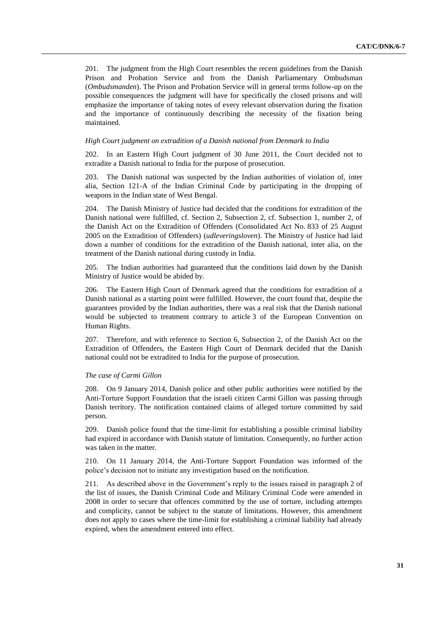201. The judgment from the High Court resembles the recent guidelines from the Danish Prison and Probation Service and from the Danish Parliamentary Ombudsman (*Ombudsmanden*). The Prison and Probation Service will in general terms follow-up on the possible consequences the judgment will have for specifically the closed prisons and will emphasize the importance of taking notes of every relevant observation during the fixation and the importance of continuously describing the necessity of the fixation being maintained.

## *High Court judgment on extradition of a Danish national from Denmark to India*

202. In an Eastern High Court judgment of 30 June 2011, the Court decided not to extradite a Danish national to India for the purpose of prosecution.

203. The Danish national was suspected by the Indian authorities of violation of, inter alia, Section 121-A of the Indian Criminal Code by participating in the dropping of weapons in the Indian state of West Bengal.

204. The Danish Ministry of Justice had decided that the conditions for extradition of the Danish national were fulfilled, cf. Section 2, Subsection 2, cf. Subsection 1, number 2, of the Danish Act on the Extradition of Offenders (Consolidated Act No. 833 of 25 August 2005 on the Extradition of Offenders) (*udleveringsloven*). The Ministry of Justice had laid down a number of conditions for the extradition of the Danish national, inter alia, on the treatment of the Danish national during custody in India.

205. The Indian authorities had guaranteed that the conditions laid down by the Danish Ministry of Justice would be abided by.

206. The Eastern High Court of Denmark agreed that the conditions for extradition of a Danish national as a starting point were fulfilled. However, the court found that, despite the guarantees provided by the Indian authorities, there was a real risk that the Danish national would be subjected to treatment contrary to article 3 of the European Convention on Human Rights.

207. Therefore, and with reference to Section 6, Subsection 2, of the Danish Act on the Extradition of Offenders, the Eastern High Court of Denmark decided that the Danish national could not be extradited to India for the purpose of prosecution.

## *The case of Carmi Gillon*

208. On 9 January 2014, Danish police and other public authorities were notified by the Anti-Torture Support Foundation that the israeli citizen Carmi Gillon was passing through Danish territory. The notification contained claims of alleged torture committed by said person.

209. Danish police found that the time-limit for establishing a possible criminal liability had expired in accordance with Danish statute of limitation. Consequently, no further action was taken in the matter.

210. On 11 January 2014, the Anti-Torture Support Foundation was informed of the police's decision not to initiate any investigation based on the notification.

211. As described above in the Government's reply to the issues raised in paragraph 2 of the list of issues, the Danish Criminal Code and Military Criminal Code were amended in 2008 in order to secure that offences committed by the use of torture, including attempts and complicity, cannot be subject to the statute of limitations. However, this amendment does not apply to cases where the time-limit for establishing a criminal liability had already expired, when the amendment entered into effect.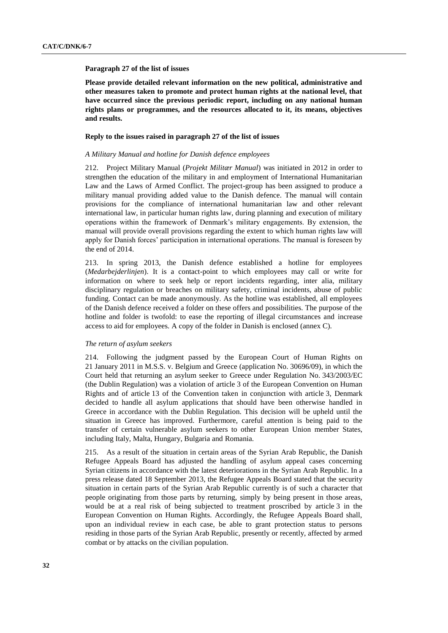#### **Paragraph 27 of the list of issues**

**Please provide detailed relevant information on the new political, administrative and other measures taken to promote and protect human rights at the national level, that have occurred since the previous periodic report, including on any national human rights plans or programmes, and the resources allocated to it, its means, objectives and results.**

## **Reply to the issues raised in paragraph 27 of the list of issues**

## *A Military Manual and hotline for Danish defence employees*

212. Project Military Manual (*Projekt Militær Manual*) was initiated in 2012 in order to strengthen the education of the military in and employment of International Humanitarian Law and the Laws of Armed Conflict. The project-group has been assigned to produce a military manual providing added value to the Danish defence. The manual will contain provisions for the compliance of international humanitarian law and other relevant international law, in particular human rights law, during planning and execution of military operations within the framework of Denmark's military engagements. By extension, the manual will provide overall provisions regarding the extent to which human rights law will apply for Danish forces' participation in international operations. The manual is foreseen by the end of 2014.

213. In spring 2013, the Danish defence established a hotline for employees (*Medarbejderlinjen*). It is a contact-point to which employees may call or write for information on where to seek help or report incidents regarding, inter alia, military disciplinary regulation or breaches on military safety, criminal incidents, abuse of public funding. Contact can be made anonymously. As the hotline was established, all employees of the Danish defence received a folder on these offers and possibilities. The purpose of the hotline and folder is twofold: to ease the reporting of illegal circumstances and increase access to aid for employees. A copy of the folder in Danish is enclosed (annex C).

## *The return of asylum seekers*

214. Following the judgment passed by the European Court of Human Rights on 21 January 2011 in M.S.S. v. Belgium and Greece (application No. 30696/09), in which the Court held that returning an asylum seeker to Greece under Regulation No. 343/2003/EC (the Dublin Regulation) was a violation of article 3 of the European Convention on Human Rights and of article 13 of the Convention taken in conjunction with article 3, Denmark decided to handle all asylum applications that should have been otherwise handled in Greece in accordance with the Dublin Regulation. This decision will be upheld until the situation in Greece has improved. Furthermore, careful attention is being paid to the transfer of certain vulnerable asylum seekers to other European Union member States, including Italy, Malta, Hungary, Bulgaria and Romania.

215. As a result of the situation in certain areas of the Syrian Arab Republic, the Danish Refugee Appeals Board has adjusted the handling of asylum appeal cases concerning Syrian citizens in accordance with the latest deteriorations in the Syrian Arab Republic. In a press release dated 18 September 2013, the Refugee Appeals Board stated that the security situation in certain parts of the Syrian Arab Republic currently is of such a character that people originating from those parts by returning, simply by being present in those areas, would be at a real risk of being subjected to treatment proscribed by article 3 in the European Convention on Human Rights. Accordingly, the Refugee Appeals Board shall, upon an individual review in each case, be able to grant protection status to persons residing in those parts of the Syrian Arab Republic, presently or recently, affected by armed combat or by attacks on the civilian population.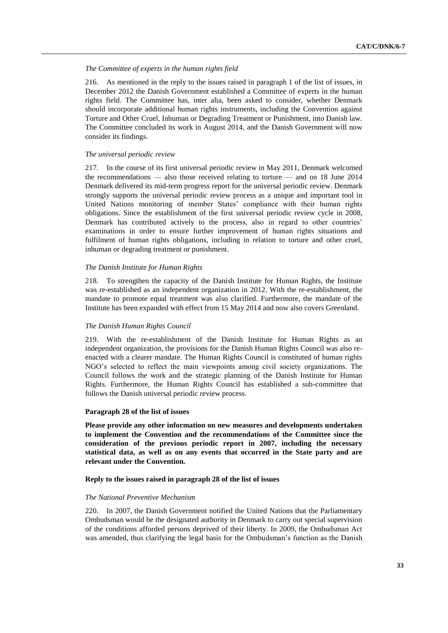## *The Committee of experts in the human rights field*

216. As mentioned in the reply to the issues raised in paragraph 1 of the list of issues, in December 2012 the Danish Government established a Committee of experts in the human rights field. The Committee has, inter alia, been asked to consider, whether Denmark should incorporate additional human rights instruments, including the Convention against Torture and Other Cruel, Inhuman or Degrading Treatment or Punishment, into Danish law. The Committee concluded its work in August 2014, and the Danish Government will now consider its findings.

## *The universal periodic review*

217. In the course of its first universal periodic review in May 2011, Denmark welcomed the recommendations — also those received relating to torture — and on 18 June 2014 Denmark delivered its mid-term progress report for the universal periodic review. Denmark strongly supports the universal periodic review process as a unique and important tool in United Nations monitoring of member States' compliance with their human rights obligations. Since the establishment of the first universal periodic review cycle in 2008, Denmark has contributed actively to the process, also in regard to other countries' examinations in order to ensure further improvement of human rights situations and fulfilment of human rights obligations, including in relation to torture and other cruel, inhuman or degrading treatment or punishment.

## *The Danish Institute for Human Rights*

218. To strengthen the capacity of the Danish Institute for Human Rights, the Institute was re-established as an independent organization in 2012. With the re-establishment, the mandate to promote equal treatment was also clarified. Furthermore, the mandate of the Institute has been expanded with effect from 15 May 2014 and now also covers Greenland.

## *The Danish Human Rights Council*

219. With the re-establishment of the Danish Institute for Human Rights as an independent organization, the provisions for the Danish Human Rights Council was also reenacted with a clearer mandate. The Human Rights Council is constituted of human rights NGO's selected to reflect the main viewpoints among civil society organizations. The Council follows the work and the strategic planning of the Danish Institute for Human Rights. Furthermore, the Human Rights Council has established a sub-committee that follows the Danish universal periodic review process.

## **Paragraph 28 of the list of issues**

**Please provide any other information on new measures and developments undertaken to implement the Convention and the recommendations of the Committee since the consideration of the previous periodic report in 2007, including the necessary statistical data, as well as on any events that occurred in the State party and are relevant under the Convention.**

## **Reply to the issues raised in paragraph 28 of the list of issues**

## *The National Preventive Mechanism*

220. In 2007, the Danish Government notified the United Nations that the Parliamentary Ombudsman would be the designated authority in Denmark to carry out special supervision of the conditions afforded persons deprived of their liberty. In 2009, the Ombudsman Act was amended, thus clarifying the legal basis for the Ombudsman's function as the Danish